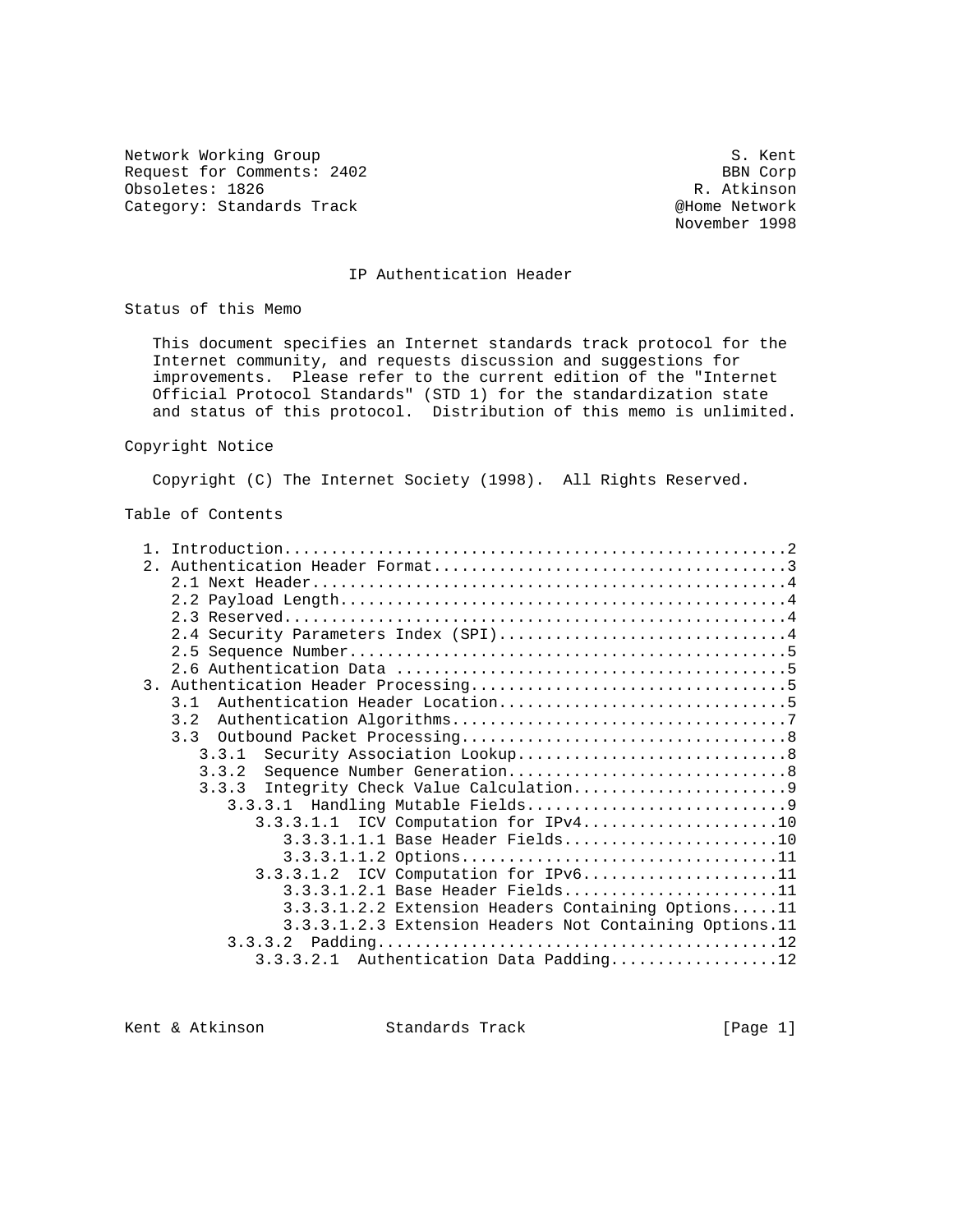Network Working Group S. Kent Request for Comments: 2402 BBN Corp<br>
0bsoletes: 1826 BBN Corp Obsoletes: 1826<br>
Category: Standards Track<br>
Category: Standards Track Category: Standards Track

November 1998

# IP Authentication Header

Status of this Memo

 This document specifies an Internet standards track protocol for the Internet community, and requests discussion and suggestions for improvements. Please refer to the current edition of the "Internet Official Protocol Standards" (STD 1) for the standardization state and status of this protocol. Distribution of this memo is unlimited.

## Copyright Notice

Copyright (C) The Internet Society (1998). All Rights Reserved.

# Table of Contents

| 1 <sup>1</sup> |                                                         |
|----------------|---------------------------------------------------------|
|                |                                                         |
|                |                                                         |
|                |                                                         |
|                |                                                         |
|                | 2.4 Security Parameters Index (SPI)4                    |
|                |                                                         |
|                |                                                         |
|                |                                                         |
|                | 3.1                                                     |
|                | 3.2                                                     |
|                | 3.3                                                     |
|                | 3.3.1                                                   |
|                | 3.3.2                                                   |
|                | 3.3.3                                                   |
|                | 3.3.3.1                                                 |
|                | ICV Computation for IPv410<br>3, 3, 3, 1, 1             |
|                |                                                         |
|                |                                                         |
|                | ICV Computation for IPv611<br>3.3.3.1.2                 |
|                | 3.3.3.1.2.1 Base Header Fields11                        |
|                | 3.3.3.1.2.2 Extension Headers Containing Options11      |
|                | 3.3.3.1.2.3 Extension Headers Not Containing Options.11 |
|                |                                                         |
|                | 3.3.3.2.1 Authentication Data Padding12                 |

Kent & Atkinson Standards Track [Page 1]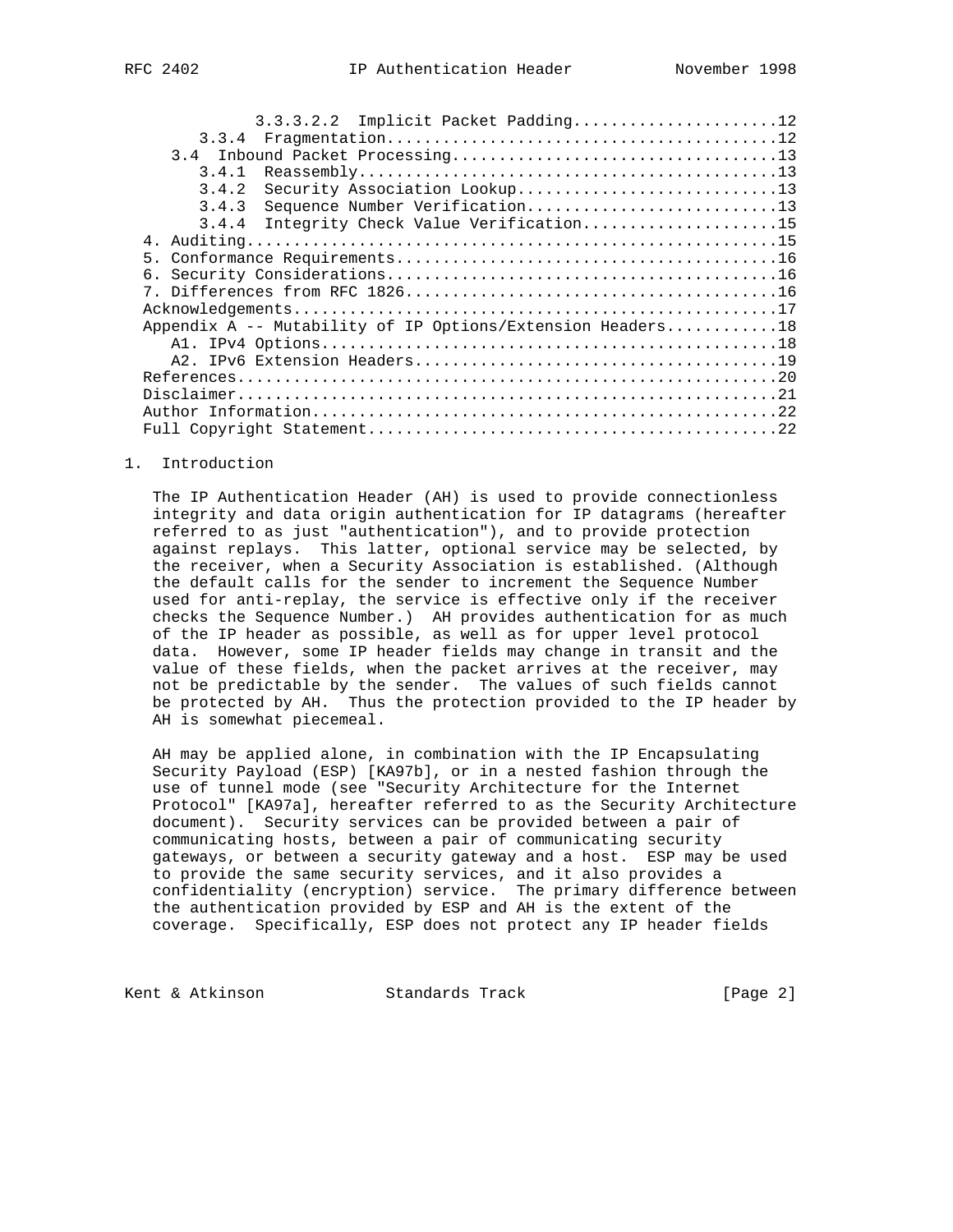| 3.3.3.2.2 Implicit Packet Padding12                        |
|------------------------------------------------------------|
| 3.3.4                                                      |
|                                                            |
| 3 4 1                                                      |
| Security Association Lookup13<br>3.4.2                     |
| Sequence Number Verification13<br>3.4.3                    |
| 3.4.4<br>Integrity Check Value Verification15              |
|                                                            |
|                                                            |
|                                                            |
|                                                            |
|                                                            |
| Appendix A -- Mutability of IP Options/Extension Headers18 |
|                                                            |
|                                                            |
|                                                            |
|                                                            |
|                                                            |
|                                                            |

#### 1. Introduction

 The IP Authentication Header (AH) is used to provide connectionless integrity and data origin authentication for IP datagrams (hereafter referred to as just "authentication"), and to provide protection against replays. This latter, optional service may be selected, by the receiver, when a Security Association is established. (Although the default calls for the sender to increment the Sequence Number used for anti-replay, the service is effective only if the receiver checks the Sequence Number.) AH provides authentication for as much of the IP header as possible, as well as for upper level protocol data. However, some IP header fields may change in transit and the value of these fields, when the packet arrives at the receiver, may not be predictable by the sender. The values of such fields cannot be protected by AH. Thus the protection provided to the IP header by AH is somewhat piecemeal.

 AH may be applied alone, in combination with the IP Encapsulating Security Payload (ESP) [KA97b], or in a nested fashion through the use of tunnel mode (see "Security Architecture for the Internet Protocol" [KA97a], hereafter referred to as the Security Architecture document). Security services can be provided between a pair of communicating hosts, between a pair of communicating security gateways, or between a security gateway and a host. ESP may be used to provide the same security services, and it also provides a confidentiality (encryption) service. The primary difference between the authentication provided by ESP and AH is the extent of the coverage. Specifically, ESP does not protect any IP header fields

Kent & Atkinson Standards Track [Page 2]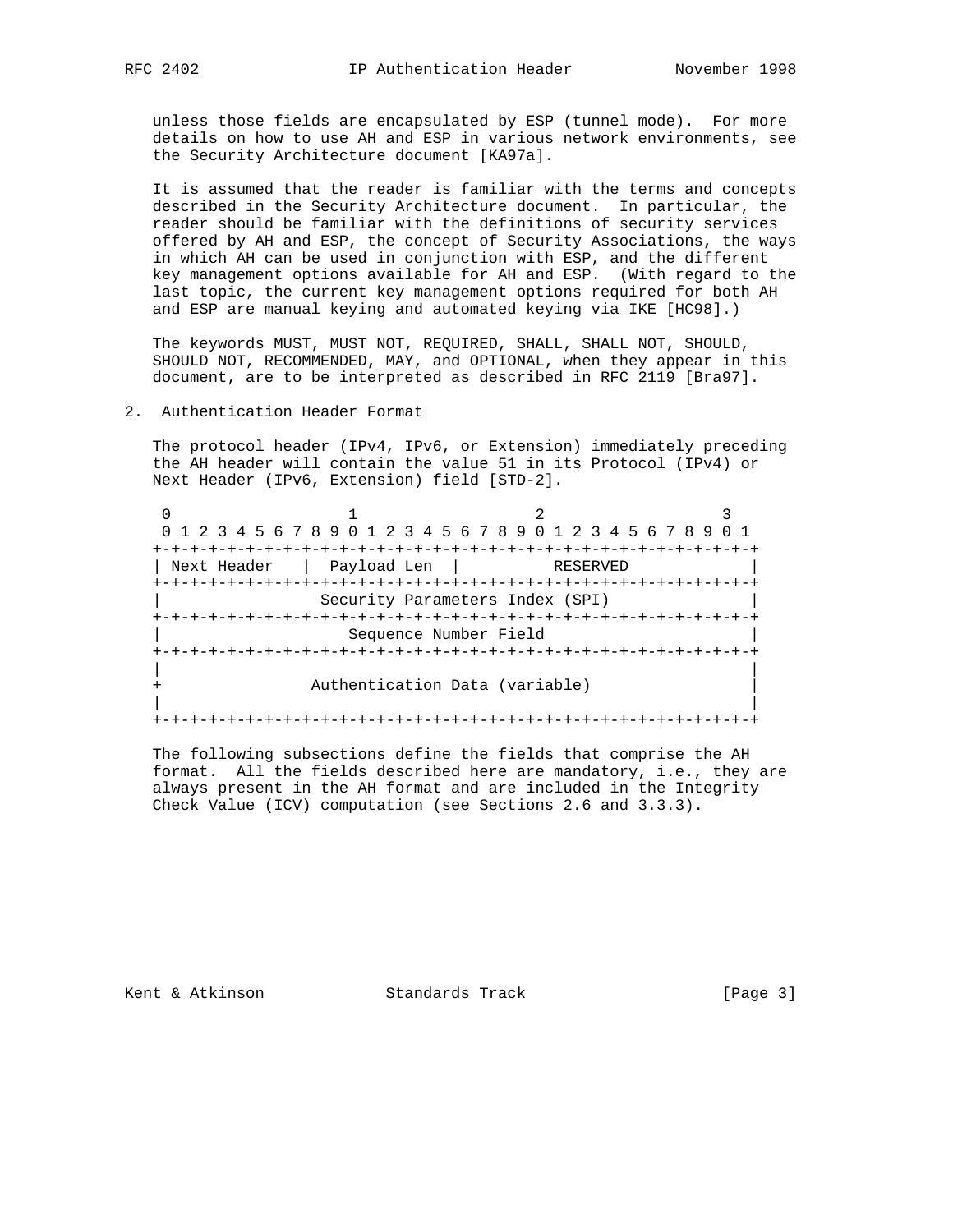unless those fields are encapsulated by ESP (tunnel mode). For more details on how to use AH and ESP in various network environments, see the Security Architecture document [KA97a].

 It is assumed that the reader is familiar with the terms and concepts described in the Security Architecture document. In particular, the reader should be familiar with the definitions of security services offered by AH and ESP, the concept of Security Associations, the ways in which AH can be used in conjunction with ESP, and the different key management options available for AH and ESP. (With regard to the last topic, the current key management options required for both AH and ESP are manual keying and automated keying via IKE [HC98].)

 The keywords MUST, MUST NOT, REQUIRED, SHALL, SHALL NOT, SHOULD, SHOULD NOT, RECOMMENDED, MAY, and OPTIONAL, when they appear in this document, are to be interpreted as described in RFC 2119 [Bra97].

## 2. Authentication Header Format

 The protocol header (IPv4, IPv6, or Extension) immediately preceding the AH header will contain the value 51 in its Protocol (IPv4) or Next Header (IPv6, Extension) field [STD-2].

|                       |                                 | 0 1 2 3 4 5 6 7 8 9 0 1 2 3 4 5 6 7 8 9 0 1 2 3 4 5 6 7 8 9 |          |  |  |  |  |  |  |  |
|-----------------------|---------------------------------|-------------------------------------------------------------|----------|--|--|--|--|--|--|--|
|                       |                                 |                                                             |          |  |  |  |  |  |  |  |
| Next Header           | Payload Len                     |                                                             | RESERVED |  |  |  |  |  |  |  |
|                       |                                 |                                                             |          |  |  |  |  |  |  |  |
|                       | Security Parameters Index (SPI) |                                                             |          |  |  |  |  |  |  |  |
|                       |                                 |                                                             |          |  |  |  |  |  |  |  |
| Sequence Number Field |                                 |                                                             |          |  |  |  |  |  |  |  |
|                       |                                 |                                                             |          |  |  |  |  |  |  |  |
|                       |                                 |                                                             |          |  |  |  |  |  |  |  |
|                       |                                 | Authentication Data (variable)                              |          |  |  |  |  |  |  |  |
|                       |                                 |                                                             |          |  |  |  |  |  |  |  |
|                       |                                 |                                                             |          |  |  |  |  |  |  |  |

 The following subsections define the fields that comprise the AH format. All the fields described here are mandatory, i.e., they are always present in the AH format and are included in the Integrity Check Value (ICV) computation (see Sections 2.6 and 3.3.3).

Kent & Atkinson Standards Track [Page 3]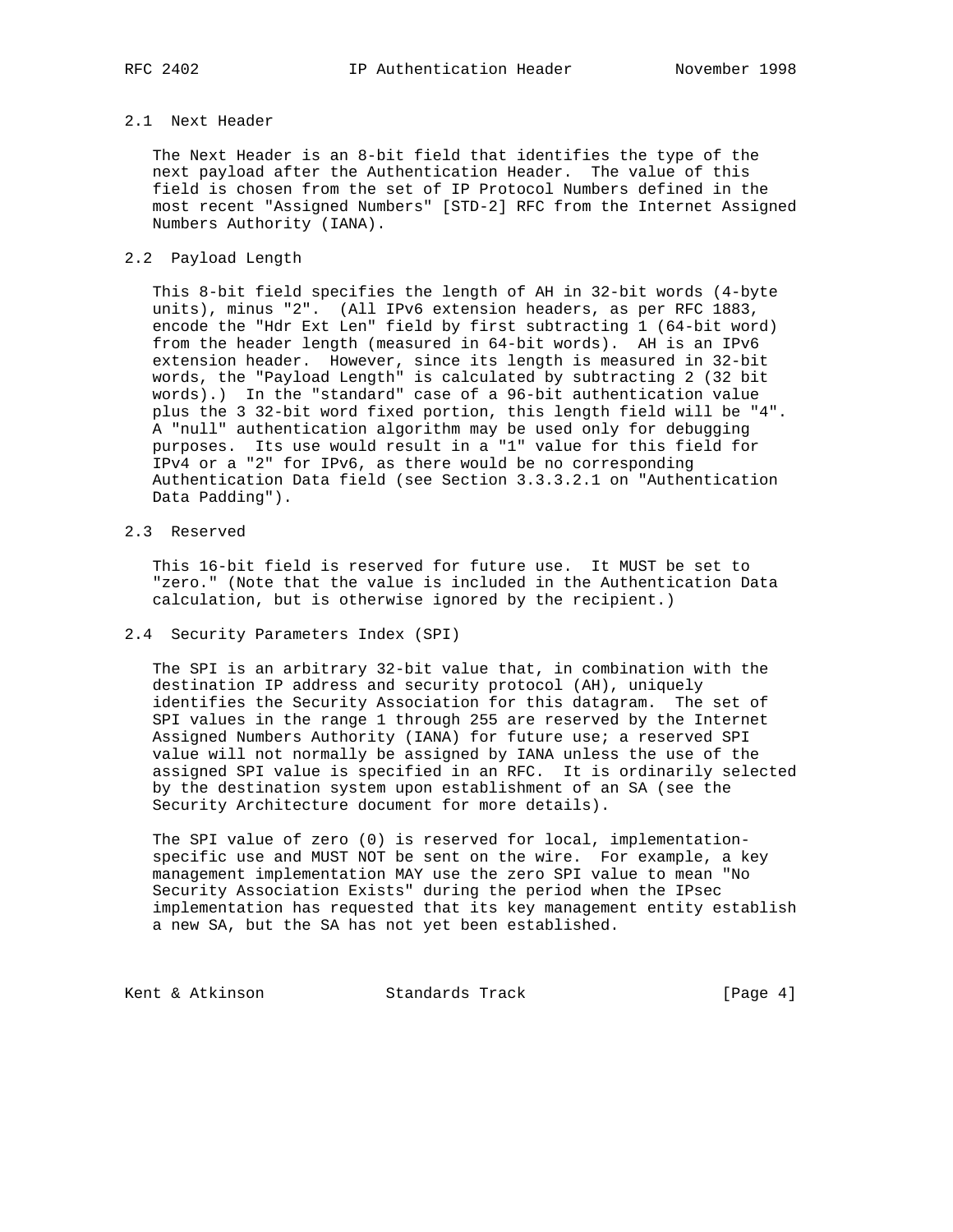# 2.1 Next Header

 The Next Header is an 8-bit field that identifies the type of the next payload after the Authentication Header. The value of this field is chosen from the set of IP Protocol Numbers defined in the most recent "Assigned Numbers" [STD-2] RFC from the Internet Assigned Numbers Authority (IANA).

## 2.2 Payload Length

 This 8-bit field specifies the length of AH in 32-bit words (4-byte units), minus "2". (All IPv6 extension headers, as per RFC 1883, encode the "Hdr Ext Len" field by first subtracting 1 (64-bit word) from the header length (measured in 64-bit words). AH is an IPv6 extension header. However, since its length is measured in 32-bit words, the "Payload Length" is calculated by subtracting 2 (32 bit words).) In the "standard" case of a 96-bit authentication value plus the 3 32-bit word fixed portion, this length field will be "4". A "null" authentication algorithm may be used only for debugging purposes. Its use would result in a "1" value for this field for IPv4 or a "2" for IPv6, as there would be no corresponding Authentication Data field (see Section 3.3.3.2.1 on "Authentication Data Padding").

2.3 Reserved

 This 16-bit field is reserved for future use. It MUST be set to "zero." (Note that the value is included in the Authentication Data calculation, but is otherwise ignored by the recipient.)

## 2.4 Security Parameters Index (SPI)

 The SPI is an arbitrary 32-bit value that, in combination with the destination IP address and security protocol (AH), uniquely identifies the Security Association for this datagram. The set of SPI values in the range 1 through 255 are reserved by the Internet Assigned Numbers Authority (IANA) for future use; a reserved SPI value will not normally be assigned by IANA unless the use of the assigned SPI value is specified in an RFC. It is ordinarily selected by the destination system upon establishment of an SA (see the Security Architecture document for more details).

 The SPI value of zero (0) is reserved for local, implementation specific use and MUST NOT be sent on the wire. For example, a key management implementation MAY use the zero SPI value to mean "No Security Association Exists" during the period when the IPsec implementation has requested that its key management entity establish a new SA, but the SA has not yet been established.

Kent & Atkinson Standards Track [Page 4]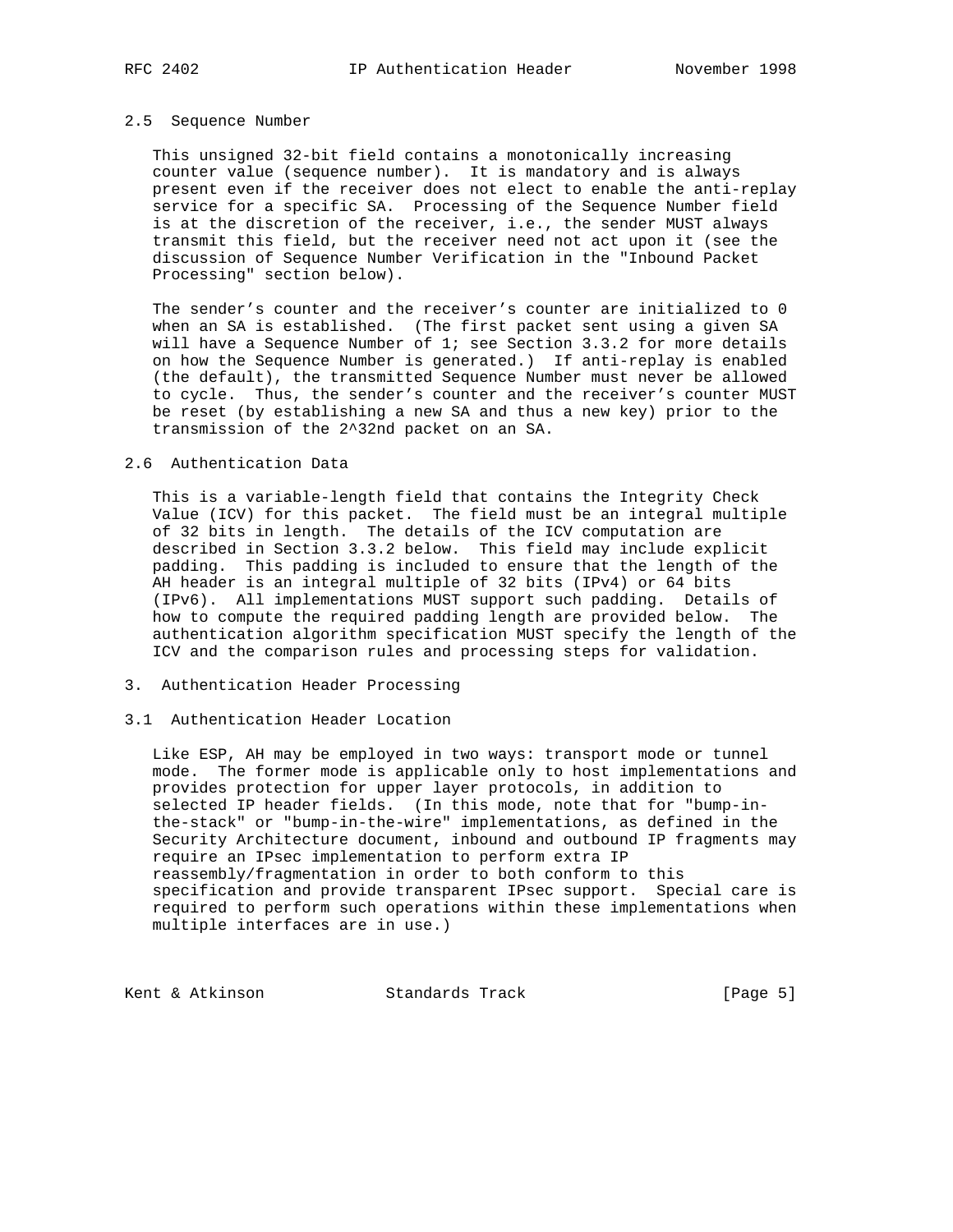## 2.5 Sequence Number

 This unsigned 32-bit field contains a monotonically increasing counter value (sequence number). It is mandatory and is always present even if the receiver does not elect to enable the anti-replay service for a specific SA. Processing of the Sequence Number field is at the discretion of the receiver, i.e., the sender MUST always transmit this field, but the receiver need not act upon it (see the discussion of Sequence Number Verification in the "Inbound Packet Processing" section below).

 The sender's counter and the receiver's counter are initialized to 0 when an SA is established. (The first packet sent using a given SA will have a Sequence Number of 1; see Section 3.3.2 for more details on how the Sequence Number is generated.) If anti-replay is enabled (the default), the transmitted Sequence Number must never be allowed to cycle. Thus, the sender's counter and the receiver's counter MUST be reset (by establishing a new SA and thus a new key) prior to the transmission of the 2^32nd packet on an SA.

## 2.6 Authentication Data

 This is a variable-length field that contains the Integrity Check Value (ICV) for this packet. The field must be an integral multiple of 32 bits in length. The details of the ICV computation are described in Section 3.3.2 below. This field may include explicit padding. This padding is included to ensure that the length of the AH header is an integral multiple of 32 bits (IPv4) or 64 bits (IPv6). All implementations MUST support such padding. Details of how to compute the required padding length are provided below. The authentication algorithm specification MUST specify the length of the ICV and the comparison rules and processing steps for validation.

## 3. Authentication Header Processing

## 3.1 Authentication Header Location

 Like ESP, AH may be employed in two ways: transport mode or tunnel mode. The former mode is applicable only to host implementations and provides protection for upper layer protocols, in addition to selected IP header fields. (In this mode, note that for "bump-in the-stack" or "bump-in-the-wire" implementations, as defined in the Security Architecture document, inbound and outbound IP fragments may require an IPsec implementation to perform extra IP reassembly/fragmentation in order to both conform to this specification and provide transparent IPsec support. Special care is required to perform such operations within these implementations when multiple interfaces are in use.)

Kent & Atkinson Standards Track [Page 5]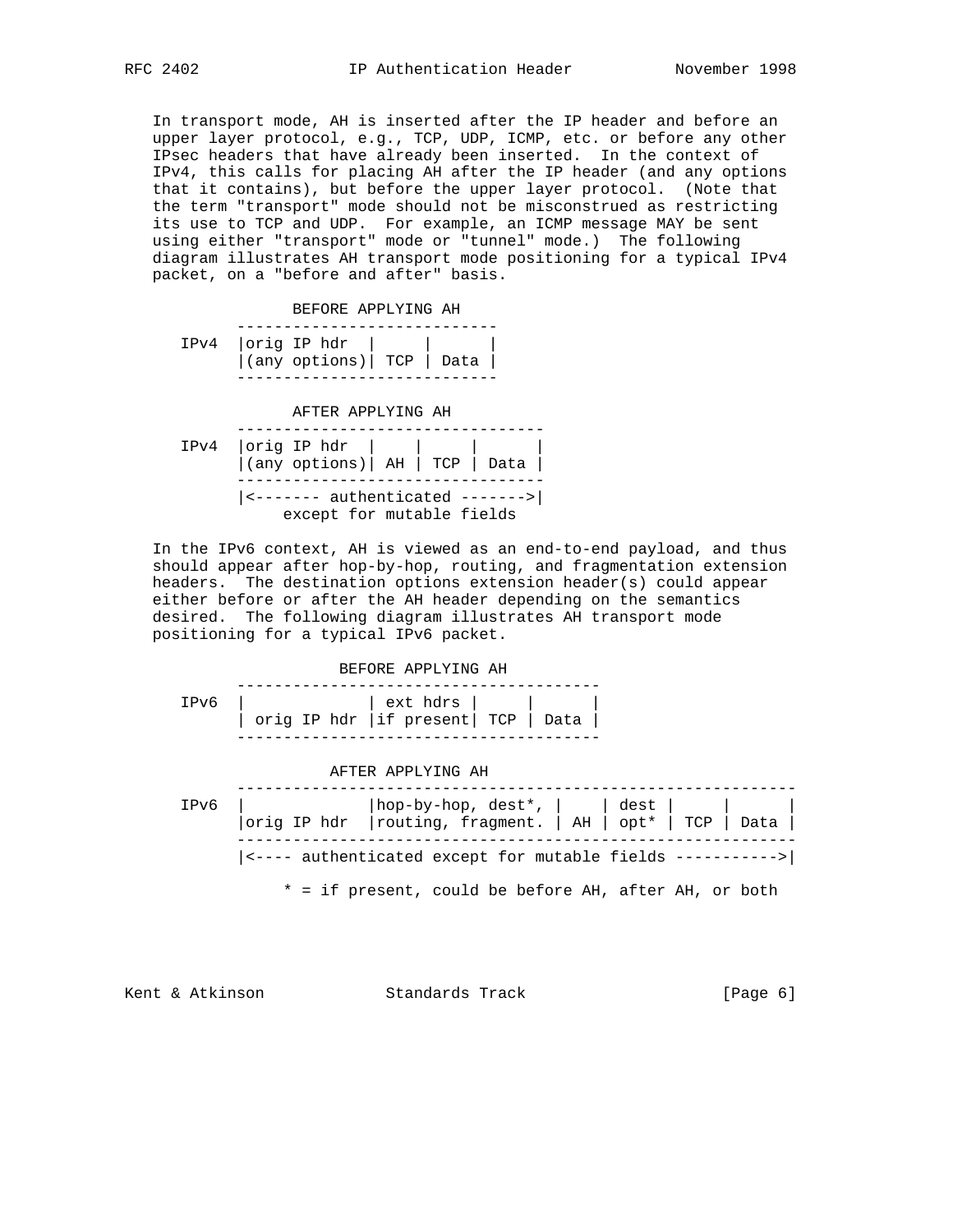In transport mode, AH is inserted after the IP header and before an upper layer protocol, e.g., TCP, UDP, ICMP, etc. or before any other IPsec headers that have already been inserted. In the context of IPv4, this calls for placing AH after the IP header (and any options that it contains), but before the upper layer protocol. (Note that the term "transport" mode should not be misconstrued as restricting its use to TCP and UDP. For example, an ICMP message MAY be sent using either "transport" mode or "tunnel" mode.) The following diagram illustrates AH transport mode positioning for a typical IPv4 packet, on a "before and after" basis.



 In the IPv6 context, AH is viewed as an end-to-end payload, and thus should appear after hop-by-hop, routing, and fragmentation extension headers. The destination options extension header(s) could appear either before or after the AH header depending on the semantics desired. The following diagram illustrates AH transport mode positioning for a typical IPv6 packet.

 BEFORE APPLYING AH --------------------------------------- IPv6 | | ext hdrs | | | | orig IP hdr |if present| TCP | Data | --------------------------------------- AFTER APPLYING AH ------------------------------------------------------------ IPv6 | | |hop-by-hop, dest\*, | | dest | | | |orig IP hdr |routing, fragment. | AH | opt\* | TCP | Data | ------------------------------------------------------------ |<---- authenticated except for mutable fields ----------->| \* = if present, could be before AH, after AH, or both

Kent & Atkinson Standards Track [Page 6]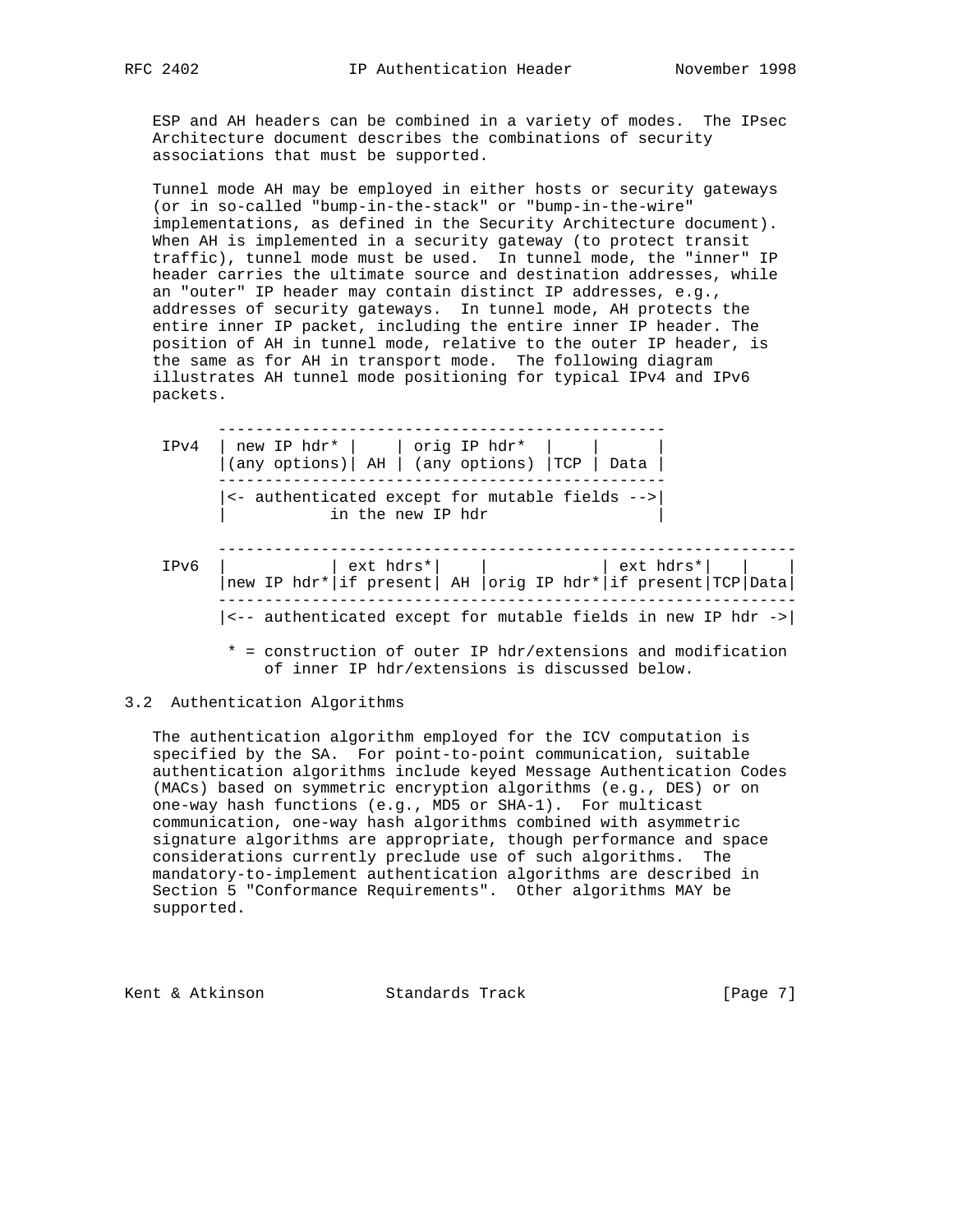ESP and AH headers can be combined in a variety of modes. The IPsec Architecture document describes the combinations of security associations that must be supported.

 Tunnel mode AH may be employed in either hosts or security gateways (or in so-called "bump-in-the-stack" or "bump-in-the-wire" implementations, as defined in the Security Architecture document). When AH is implemented in a security gateway (to protect transit traffic), tunnel mode must be used. In tunnel mode, the "inner" IP header carries the ultimate source and destination addresses, while an "outer" IP header may contain distinct IP addresses, e.g., addresses of security gateways. In tunnel mode, AH protects the entire inner IP packet, including the entire inner IP header. The position of AH in tunnel mode, relative to the outer IP header, is the same as for AH in transport mode. The following diagram illustrates AH tunnel mode positioning for typical IPv4 and IPv6 packets.

 ------------------------------------------------ IPv4 | new IP hdr\* | | orig IP hdr\* | | |  $|(any \text{ options})|$  AH  $|(any \text{ options})|$  TCP  $|$  Data  $|$  ------------------------------------------------ |<- authenticated except for mutable fields -->| in the new IP hdr -------------------------------------------------------------- IPv6 | | ext hdrs\*| | | ext hdrs\*| | | |new IP hdr\*|if present| AH |orig IP hdr\*|if present|TCP|Data| --------------------------------------------------------------  $|\left\langle -\right|$  authenticated except for mutable fields in new IP hdr  $|\left\langle -\right|$  \* = construction of outer IP hdr/extensions and modification of inner IP hdr/extensions is discussed below.

## 3.2 Authentication Algorithms

 The authentication algorithm employed for the ICV computation is specified by the SA. For point-to-point communication, suitable authentication algorithms include keyed Message Authentication Codes (MACs) based on symmetric encryption algorithms (e.g., DES) or on one-way hash functions (e.g., MD5 or SHA-1). For multicast communication, one-way hash algorithms combined with asymmetric signature algorithms are appropriate, though performance and space considerations currently preclude use of such algorithms. The mandatory-to-implement authentication algorithms are described in Section 5 "Conformance Requirements". Other algorithms MAY be supported.

Kent & Atkinson Standards Track [Page 7]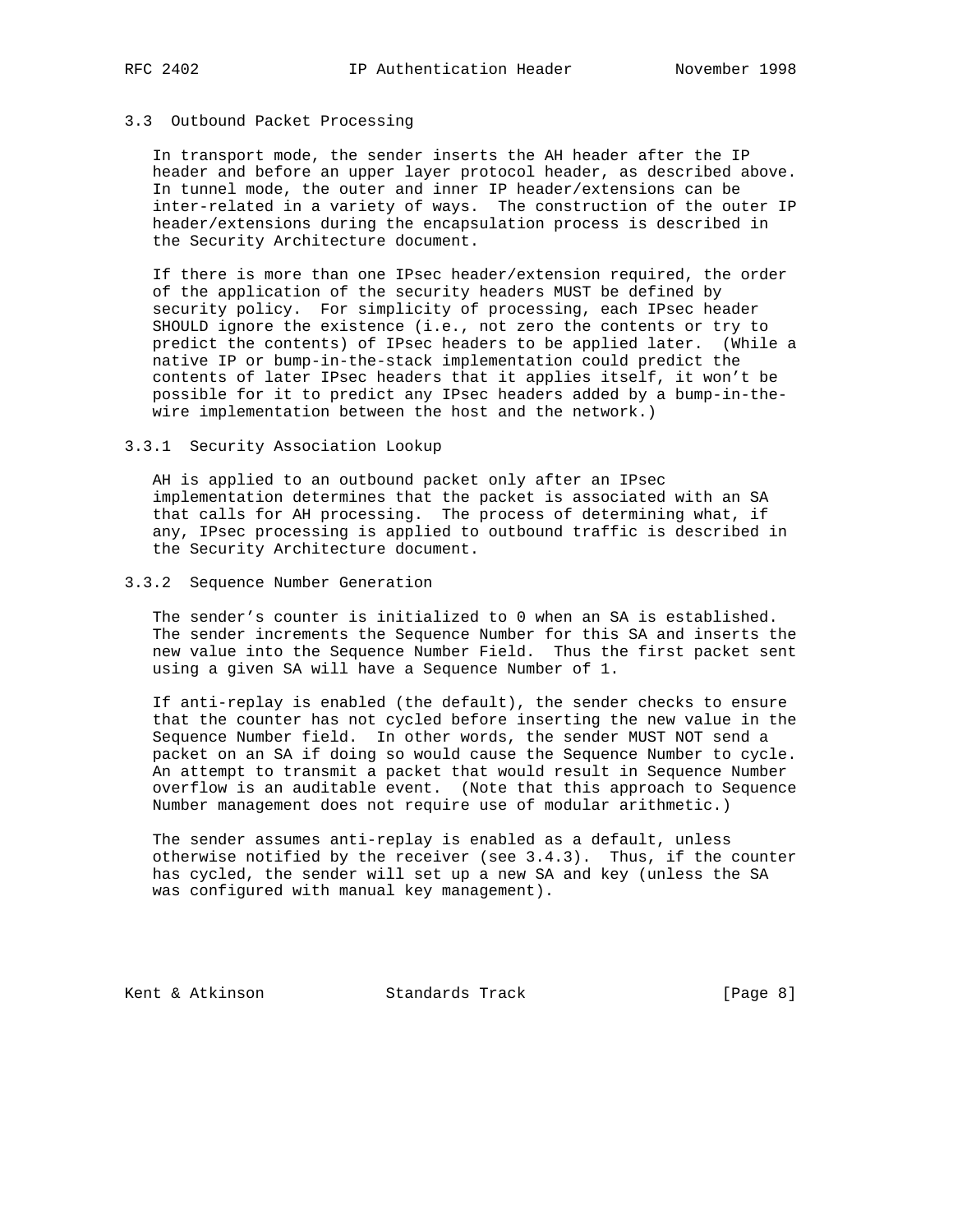## 3.3 Outbound Packet Processing

 In transport mode, the sender inserts the AH header after the IP header and before an upper layer protocol header, as described above. In tunnel mode, the outer and inner IP header/extensions can be inter-related in a variety of ways. The construction of the outer IP header/extensions during the encapsulation process is described in the Security Architecture document.

 If there is more than one IPsec header/extension required, the order of the application of the security headers MUST be defined by security policy. For simplicity of processing, each IPsec header SHOULD ignore the existence (i.e., not zero the contents or try to predict the contents) of IPsec headers to be applied later. (While a native IP or bump-in-the-stack implementation could predict the contents of later IPsec headers that it applies itself, it won't be possible for it to predict any IPsec headers added by a bump-in-the wire implementation between the host and the network.)

#### 3.3.1 Security Association Lookup

 AH is applied to an outbound packet only after an IPsec implementation determines that the packet is associated with an SA that calls for AH processing. The process of determining what, if any, IPsec processing is applied to outbound traffic is described in the Security Architecture document.

## 3.3.2 Sequence Number Generation

 The sender's counter is initialized to 0 when an SA is established. The sender increments the Sequence Number for this SA and inserts the new value into the Sequence Number Field. Thus the first packet sent using a given SA will have a Sequence Number of 1.

 If anti-replay is enabled (the default), the sender checks to ensure that the counter has not cycled before inserting the new value in the Sequence Number field. In other words, the sender MUST NOT send a packet on an SA if doing so would cause the Sequence Number to cycle. An attempt to transmit a packet that would result in Sequence Number overflow is an auditable event. (Note that this approach to Sequence Number management does not require use of modular arithmetic.)

 The sender assumes anti-replay is enabled as a default, unless otherwise notified by the receiver (see 3.4.3). Thus, if the counter has cycled, the sender will set up a new SA and key (unless the SA was configured with manual key management).

Kent & Atkinson Standards Track [Page 8]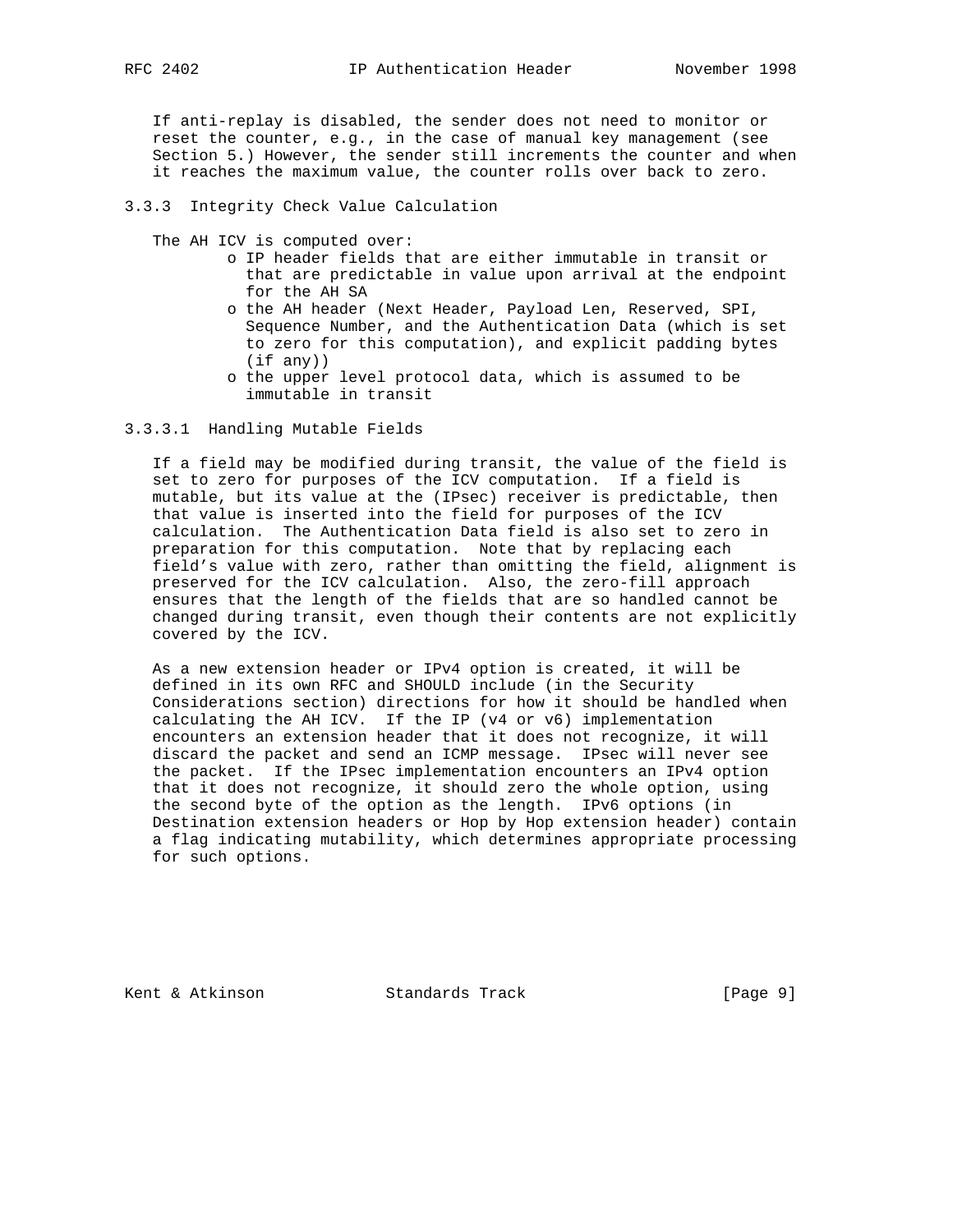If anti-replay is disabled, the sender does not need to monitor or reset the counter, e.g., in the case of manual key management (see Section 5.) However, the sender still increments the counter and when it reaches the maximum value, the counter rolls over back to zero.

## 3.3.3 Integrity Check Value Calculation

The AH ICV is computed over:

- o IP header fields that are either immutable in transit or that are predictable in value upon arrival at the endpoint for the AH SA
- o the AH header (Next Header, Payload Len, Reserved, SPI, Sequence Number, and the Authentication Data (which is set to zero for this computation), and explicit padding bytes (if any))
- o the upper level protocol data, which is assumed to be immutable in transit

## 3.3.3.1 Handling Mutable Fields

 If a field may be modified during transit, the value of the field is set to zero for purposes of the ICV computation. If a field is mutable, but its value at the (IPsec) receiver is predictable, then that value is inserted into the field for purposes of the ICV calculation. The Authentication Data field is also set to zero in preparation for this computation. Note that by replacing each field's value with zero, rather than omitting the field, alignment is preserved for the ICV calculation. Also, the zero-fill approach ensures that the length of the fields that are so handled cannot be changed during transit, even though their contents are not explicitly covered by the ICV.

 As a new extension header or IPv4 option is created, it will be defined in its own RFC and SHOULD include (in the Security Considerations section) directions for how it should be handled when calculating the AH ICV. If the IP (v4 or v6) implementation encounters an extension header that it does not recognize, it will discard the packet and send an ICMP message. IPsec will never see the packet. If the IPsec implementation encounters an IPv4 option that it does not recognize, it should zero the whole option, using the second byte of the option as the length. IPv6 options (in Destination extension headers or Hop by Hop extension header) contain a flag indicating mutability, which determines appropriate processing for such options.

Kent & Atkinson Standards Track [Page 9]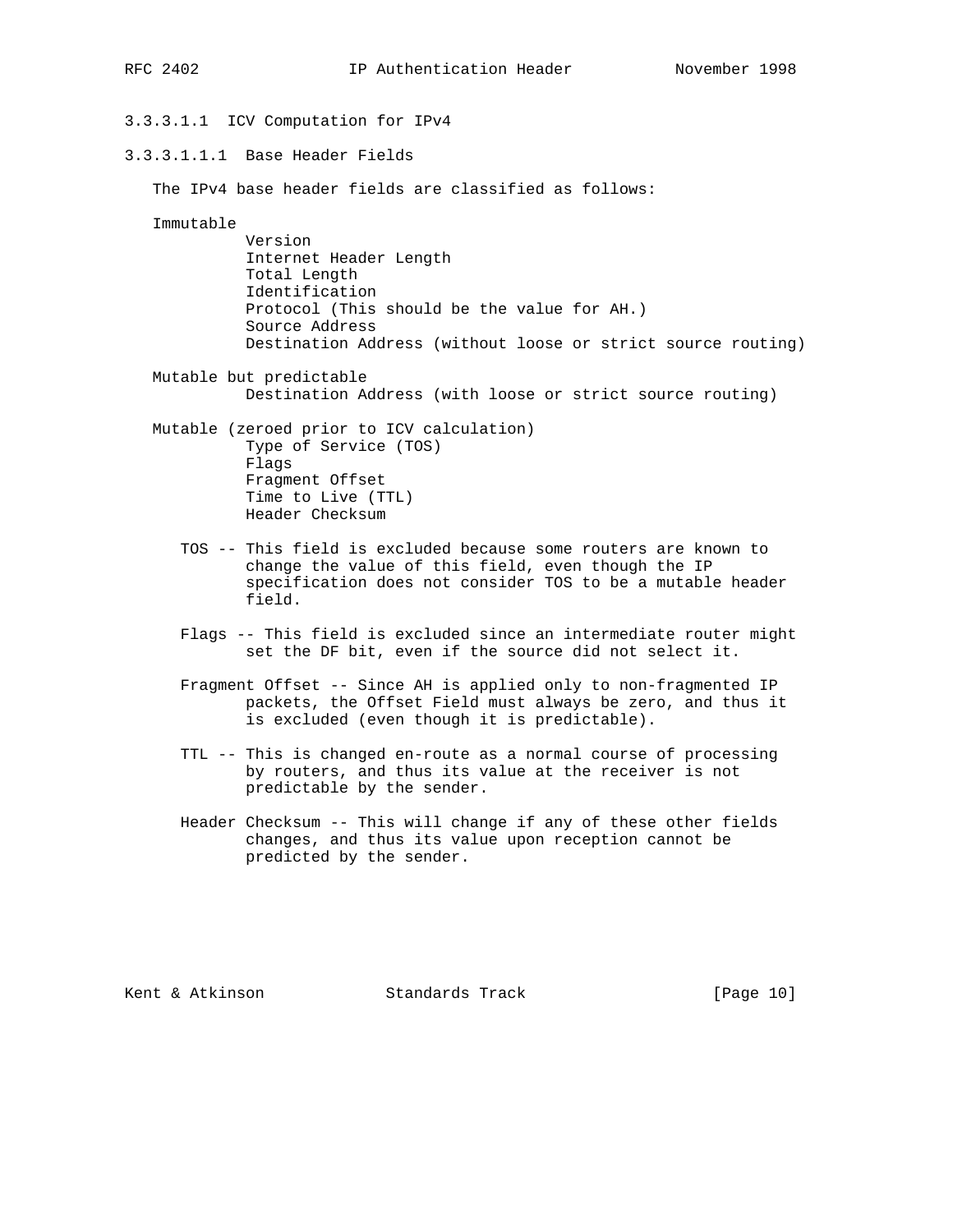3.3.3.1.1.1 Base Header Fields

3.3.3.1.1 ICV Computation for IPv4

The IPv4 base header fields are classified as follows:

Immutable

 Version Internet Header Length Total Length Identification Protocol (This should be the value for AH.) Source Address Destination Address (without loose or strict source routing)

 Mutable but predictable Destination Address (with loose or strict source routing)

 Mutable (zeroed prior to ICV calculation) Type of Service (TOS) Flags Fragment Offset Time to Live (TTL) Header Checksum

- TOS -- This field is excluded because some routers are known to change the value of this field, even though the IP specification does not consider TOS to be a mutable header field.
- Flags -- This field is excluded since an intermediate router might set the DF bit, even if the source did not select it.
- Fragment Offset -- Since AH is applied only to non-fragmented IP packets, the Offset Field must always be zero, and thus it is excluded (even though it is predictable).
- TTL -- This is changed en-route as a normal course of processing by routers, and thus its value at the receiver is not predictable by the sender.
- Header Checksum -- This will change if any of these other fields changes, and thus its value upon reception cannot be predicted by the sender.

Kent & Atkinson Standards Track [Page 10]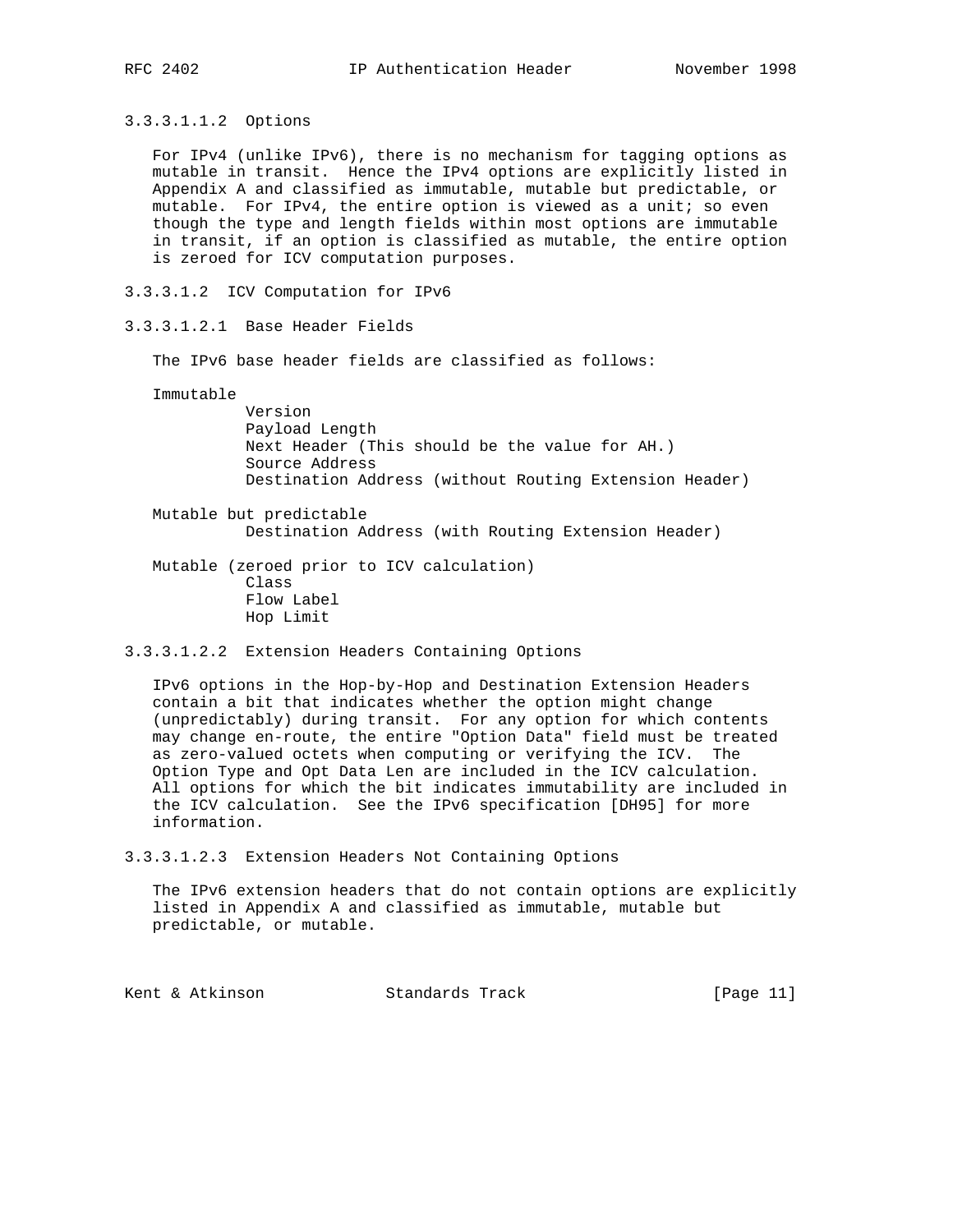3.3.3.1.1.2 Options

 For IPv4 (unlike IPv6), there is no mechanism for tagging options as mutable in transit. Hence the IPv4 options are explicitly listed in Appendix A and classified as immutable, mutable but predictable, or mutable. For IPv4, the entire option is viewed as a unit; so even though the type and length fields within most options are immutable in transit, if an option is classified as mutable, the entire option is zeroed for ICV computation purposes.

3.3.3.1.2 ICV Computation for IPv6

3.3.3.1.2.1 Base Header Fields

The IPv6 base header fields are classified as follows:

Immutable

 Version Payload Length Next Header (This should be the value for AH.) Source Address Destination Address (without Routing Extension Header)

 Mutable but predictable Destination Address (with Routing Extension Header)

 Mutable (zeroed prior to ICV calculation) Class Flow Label Hop Limit

3.3.3.1.2.2 Extension Headers Containing Options

 IPv6 options in the Hop-by-Hop and Destination Extension Headers contain a bit that indicates whether the option might change (unpredictably) during transit. For any option for which contents may change en-route, the entire "Option Data" field must be treated as zero-valued octets when computing or verifying the ICV. The Option Type and Opt Data Len are included in the ICV calculation. All options for which the bit indicates immutability are included in the ICV calculation. See the IPv6 specification [DH95] for more information.

3.3.3.1.2.3 Extension Headers Not Containing Options

 The IPv6 extension headers that do not contain options are explicitly listed in Appendix A and classified as immutable, mutable but predictable, or mutable.

Kent & Atkinson Standards Track [Page 11]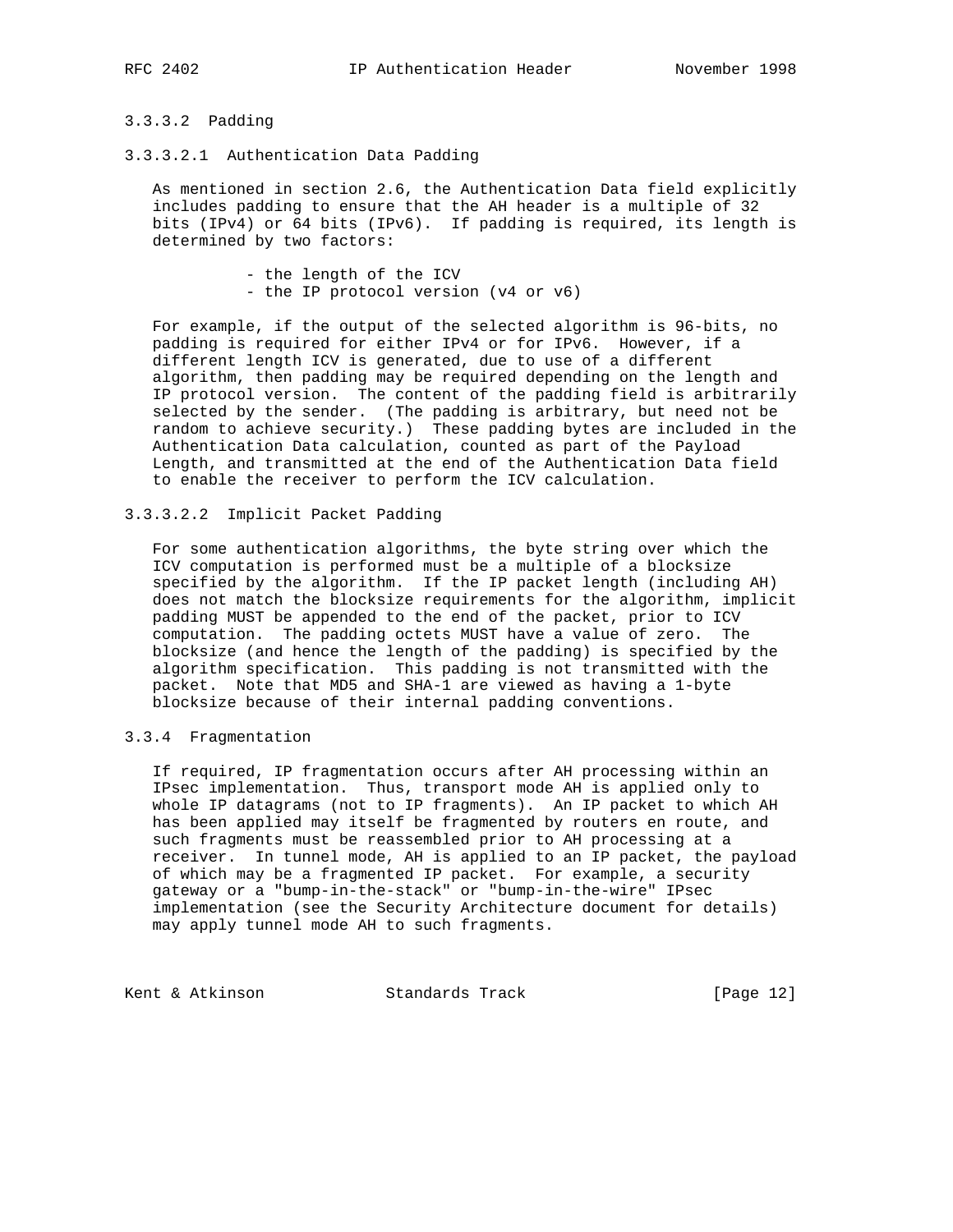# 3.3.3.2 Padding

3.3.3.2.1 Authentication Data Padding

 As mentioned in section 2.6, the Authentication Data field explicitly includes padding to ensure that the AH header is a multiple of 32 bits (IPv4) or 64 bits (IPv6). If padding is required, its length is determined by two factors:

- the length of the ICV
- the IP protocol version (v4 or v6)

 For example, if the output of the selected algorithm is 96-bits, no padding is required for either IPv4 or for IPv6. However, if a different length ICV is generated, due to use of a different algorithm, then padding may be required depending on the length and IP protocol version. The content of the padding field is arbitrarily selected by the sender. (The padding is arbitrary, but need not be random to achieve security.) These padding bytes are included in the Authentication Data calculation, counted as part of the Payload Length, and transmitted at the end of the Authentication Data field to enable the receiver to perform the ICV calculation.

3.3.3.2.2 Implicit Packet Padding

 For some authentication algorithms, the byte string over which the ICV computation is performed must be a multiple of a blocksize specified by the algorithm. If the IP packet length (including AH) does not match the blocksize requirements for the algorithm, implicit padding MUST be appended to the end of the packet, prior to ICV computation. The padding octets MUST have a value of zero. The blocksize (and hence the length of the padding) is specified by the algorithm specification. This padding is not transmitted with the packet. Note that MD5 and SHA-1 are viewed as having a 1-byte blocksize because of their internal padding conventions.

3.3.4 Fragmentation

 If required, IP fragmentation occurs after AH processing within an IPsec implementation. Thus, transport mode AH is applied only to whole IP datagrams (not to IP fragments). An IP packet to which AH has been applied may itself be fragmented by routers en route, and such fragments must be reassembled prior to AH processing at a receiver. In tunnel mode, AH is applied to an IP packet, the payload of which may be a fragmented IP packet. For example, a security gateway or a "bump-in-the-stack" or "bump-in-the-wire" IPsec implementation (see the Security Architecture document for details) may apply tunnel mode AH to such fragments.

Kent & Atkinson Standards Track [Page 12]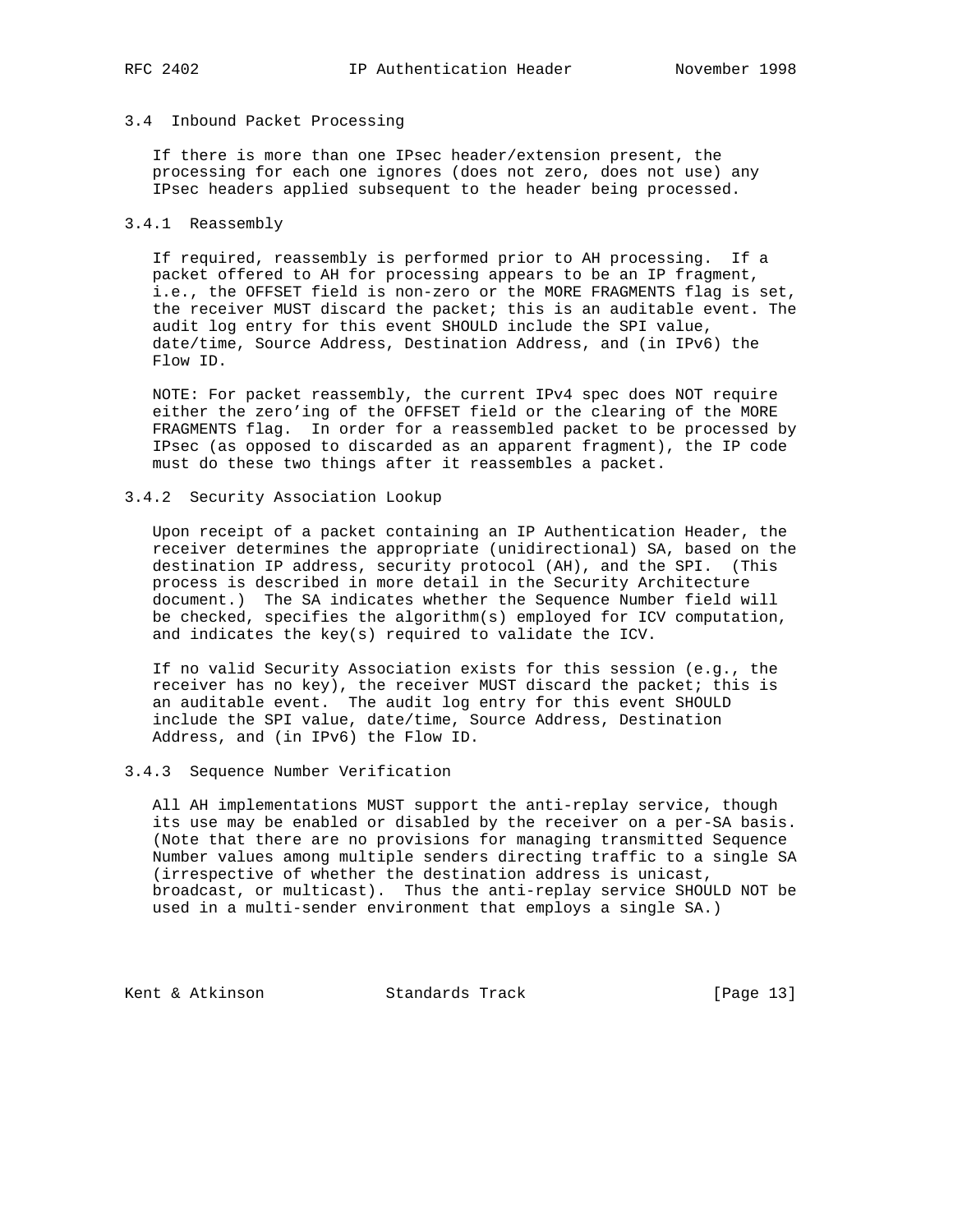## 3.4 Inbound Packet Processing

 If there is more than one IPsec header/extension present, the processing for each one ignores (does not zero, does not use) any IPsec headers applied subsequent to the header being processed.

#### 3.4.1 Reassembly

 If required, reassembly is performed prior to AH processing. If a packet offered to AH for processing appears to be an IP fragment, i.e., the OFFSET field is non-zero or the MORE FRAGMENTS flag is set, the receiver MUST discard the packet; this is an auditable event. The audit log entry for this event SHOULD include the SPI value, date/time, Source Address, Destination Address, and (in IPv6) the Flow ID.

 NOTE: For packet reassembly, the current IPv4 spec does NOT require either the zero'ing of the OFFSET field or the clearing of the MORE FRAGMENTS flag. In order for a reassembled packet to be processed by IPsec (as opposed to discarded as an apparent fragment), the IP code must do these two things after it reassembles a packet.

## 3.4.2 Security Association Lookup

 Upon receipt of a packet containing an IP Authentication Header, the receiver determines the appropriate (unidirectional) SA, based on the destination IP address, security protocol (AH), and the SPI. (This process is described in more detail in the Security Architecture document.) The SA indicates whether the Sequence Number field will be checked, specifies the algorithm(s) employed for ICV computation, and indicates the key(s) required to validate the ICV.

 If no valid Security Association exists for this session (e.g., the receiver has no key), the receiver MUST discard the packet; this is an auditable event. The audit log entry for this event SHOULD include the SPI value, date/time, Source Address, Destination Address, and (in IPv6) the Flow ID.

## 3.4.3 Sequence Number Verification

 All AH implementations MUST support the anti-replay service, though its use may be enabled or disabled by the receiver on a per-SA basis. (Note that there are no provisions for managing transmitted Sequence Number values among multiple senders directing traffic to a single SA (irrespective of whether the destination address is unicast, broadcast, or multicast). Thus the anti-replay service SHOULD NOT be used in a multi-sender environment that employs a single SA.)

Kent & Atkinson Standards Track [Page 13]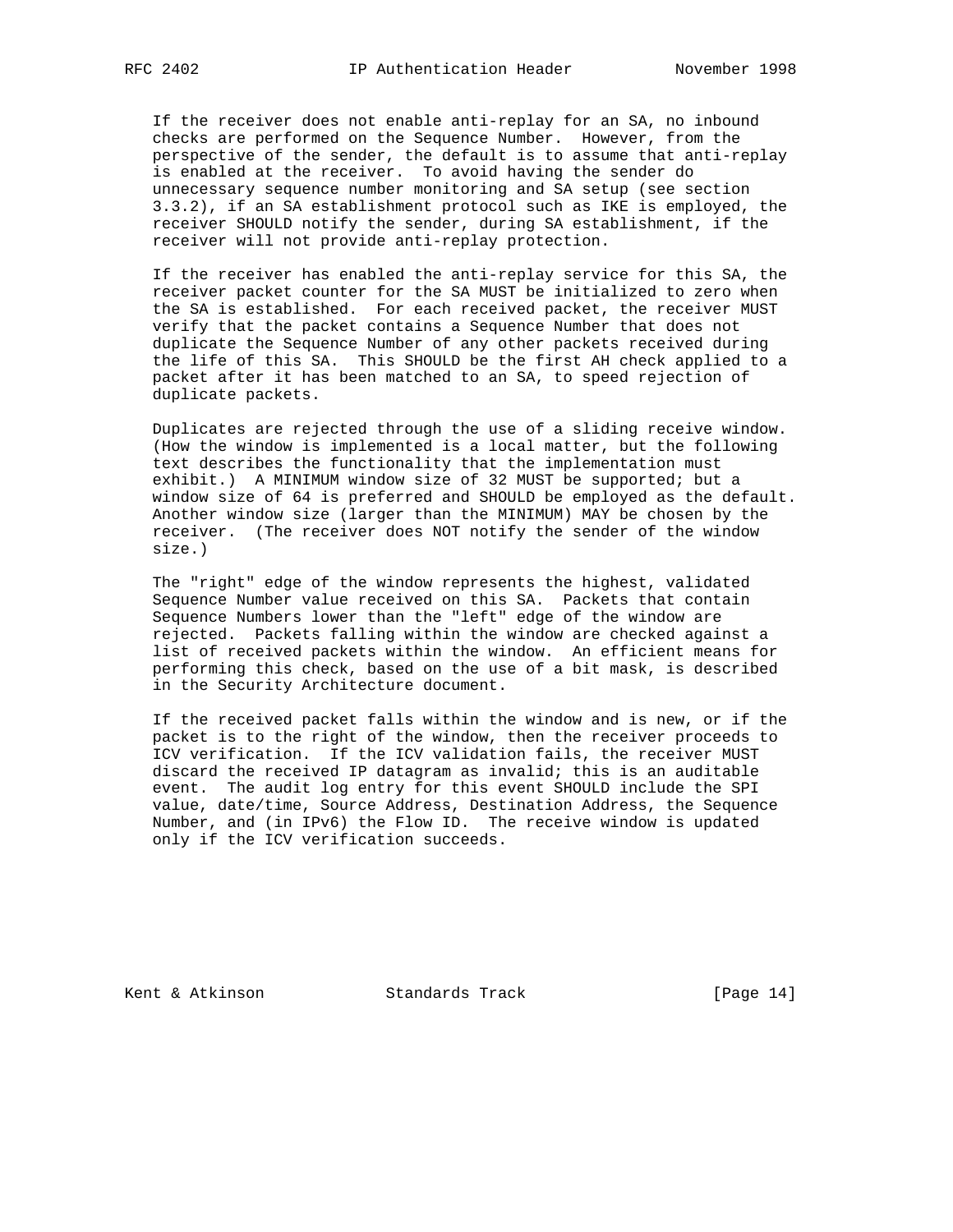If the receiver does not enable anti-replay for an SA, no inbound checks are performed on the Sequence Number. However, from the perspective of the sender, the default is to assume that anti-replay is enabled at the receiver. To avoid having the sender do unnecessary sequence number monitoring and SA setup (see section 3.3.2), if an SA establishment protocol such as IKE is employed, the receiver SHOULD notify the sender, during SA establishment, if the receiver will not provide anti-replay protection.

 If the receiver has enabled the anti-replay service for this SA, the receiver packet counter for the SA MUST be initialized to zero when the SA is established. For each received packet, the receiver MUST verify that the packet contains a Sequence Number that does not duplicate the Sequence Number of any other packets received during the life of this SA. This SHOULD be the first AH check applied to a packet after it has been matched to an SA, to speed rejection of duplicate packets.

 Duplicates are rejected through the use of a sliding receive window. (How the window is implemented is a local matter, but the following text describes the functionality that the implementation must exhibit.) A MINIMUM window size of 32 MUST be supported; but a window size of 64 is preferred and SHOULD be employed as the default. Another window size (larger than the MINIMUM) MAY be chosen by the receiver. (The receiver does NOT notify the sender of the window size.)

 The "right" edge of the window represents the highest, validated Sequence Number value received on this SA. Packets that contain Sequence Numbers lower than the "left" edge of the window are rejected. Packets falling within the window are checked against a list of received packets within the window. An efficient means for performing this check, based on the use of a bit mask, is described in the Security Architecture document.

 If the received packet falls within the window and is new, or if the packet is to the right of the window, then the receiver proceeds to ICV verification. If the ICV validation fails, the receiver MUST discard the received IP datagram as invalid; this is an auditable event. The audit log entry for this event SHOULD include the SPI value, date/time, Source Address, Destination Address, the Sequence Number, and (in IPv6) the Flow ID. The receive window is updated only if the ICV verification succeeds.

Kent & Atkinson Standards Track [Page 14]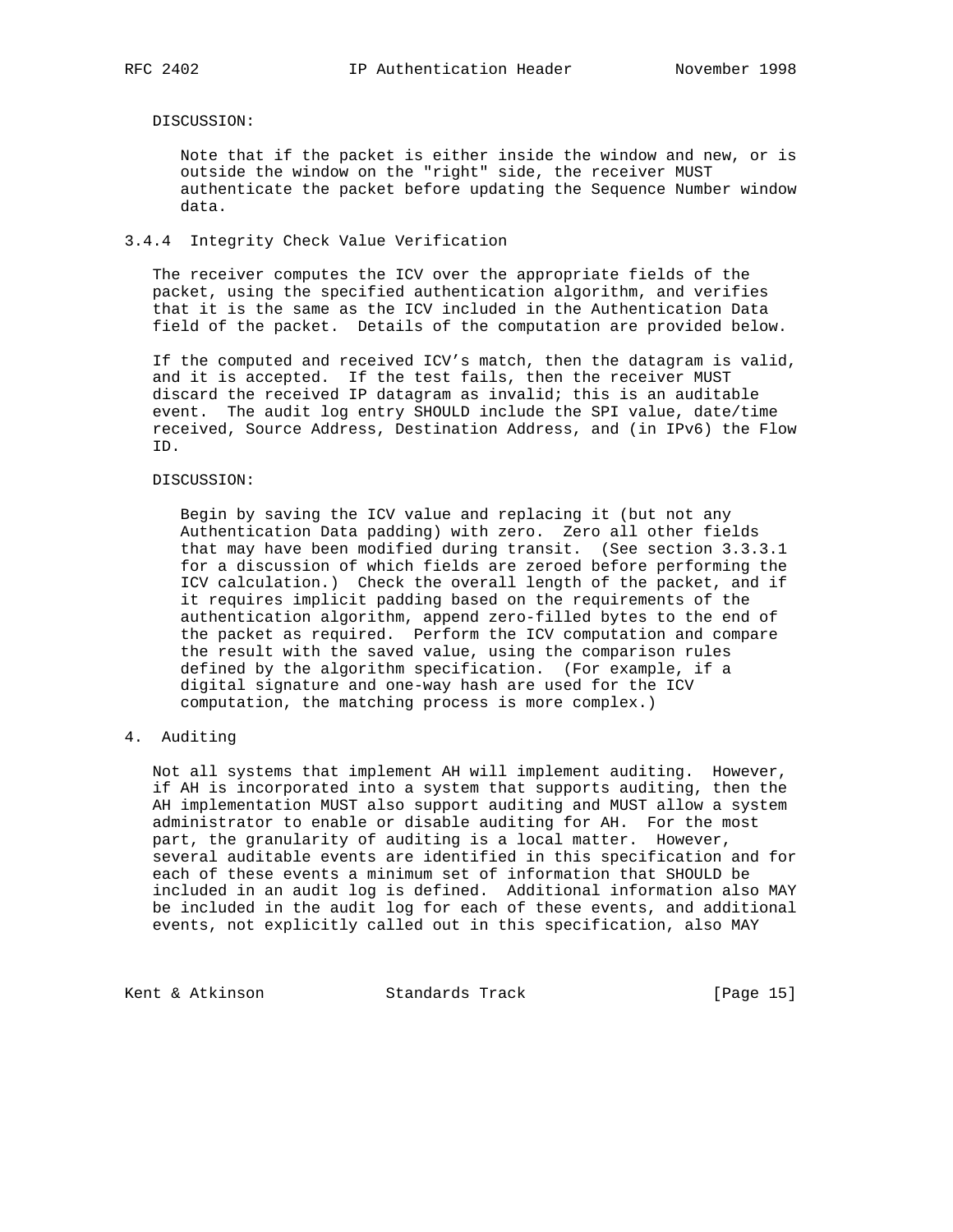DISCUSSION:

 Note that if the packet is either inside the window and new, or is outside the window on the "right" side, the receiver MUST authenticate the packet before updating the Sequence Number window data.

# 3.4.4 Integrity Check Value Verification

 The receiver computes the ICV over the appropriate fields of the packet, using the specified authentication algorithm, and verifies that it is the same as the ICV included in the Authentication Data field of the packet. Details of the computation are provided below.

 If the computed and received ICV's match, then the datagram is valid, and it is accepted. If the test fails, then the receiver MUST discard the received IP datagram as invalid; this is an auditable event. The audit log entry SHOULD include the SPI value, date/time received, Source Address, Destination Address, and (in IPv6) the Flow ID.

#### DISCUSSION:

 Begin by saving the ICV value and replacing it (but not any Authentication Data padding) with zero. Zero all other fields that may have been modified during transit. (See section 3.3.3.1 for a discussion of which fields are zeroed before performing the ICV calculation.) Check the overall length of the packet, and if it requires implicit padding based on the requirements of the authentication algorithm, append zero-filled bytes to the end of the packet as required. Perform the ICV computation and compare the result with the saved value, using the comparison rules defined by the algorithm specification. (For example, if a digital signature and one-way hash are used for the ICV computation, the matching process is more complex.)

# 4. Auditing

 Not all systems that implement AH will implement auditing. However, if AH is incorporated into a system that supports auditing, then the AH implementation MUST also support auditing and MUST allow a system administrator to enable or disable auditing for AH. For the most part, the granularity of auditing is a local matter. However, several auditable events are identified in this specification and for each of these events a minimum set of information that SHOULD be included in an audit log is defined. Additional information also MAY be included in the audit log for each of these events, and additional events, not explicitly called out in this specification, also MAY

Kent & Atkinson Standards Track [Page 15]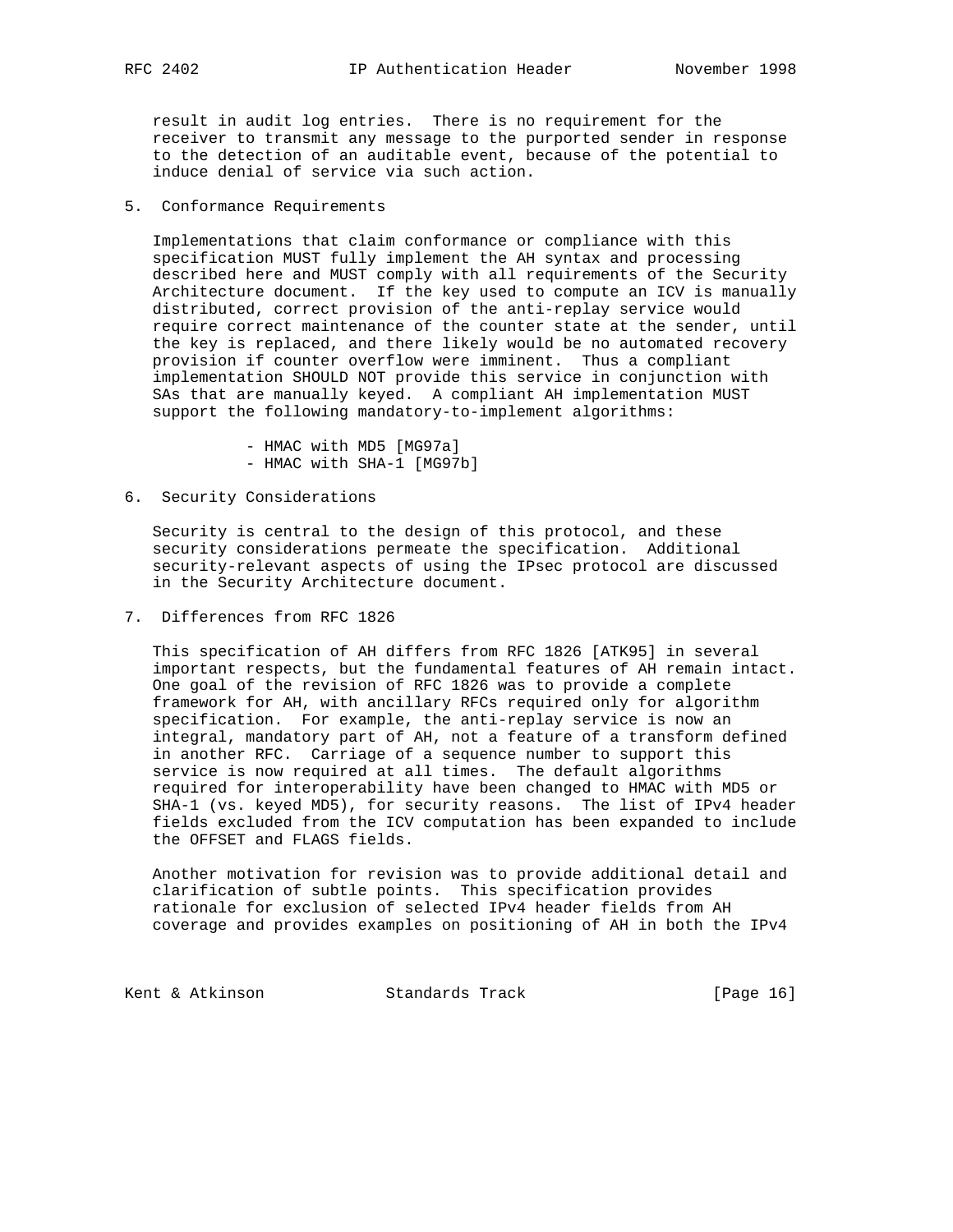result in audit log entries. There is no requirement for the receiver to transmit any message to the purported sender in response to the detection of an auditable event, because of the potential to induce denial of service via such action.

5. Conformance Requirements

 Implementations that claim conformance or compliance with this specification MUST fully implement the AH syntax and processing described here and MUST comply with all requirements of the Security Architecture document. If the key used to compute an ICV is manually distributed, correct provision of the anti-replay service would require correct maintenance of the counter state at the sender, until the key is replaced, and there likely would be no automated recovery provision if counter overflow were imminent. Thus a compliant implementation SHOULD NOT provide this service in conjunction with SAs that are manually keyed. A compliant AH implementation MUST support the following mandatory-to-implement algorithms:

- HMAC with MD5 [MG97a] - HMAC with SHA-1 [MG97b]
- 6. Security Considerations

 Security is central to the design of this protocol, and these security considerations permeate the specification. Additional security-relevant aspects of using the IPsec protocol are discussed in the Security Architecture document.

7. Differences from RFC 1826

 This specification of AH differs from RFC 1826 [ATK95] in several important respects, but the fundamental features of AH remain intact. One goal of the revision of RFC 1826 was to provide a complete framework for AH, with ancillary RFCs required only for algorithm specification. For example, the anti-replay service is now an integral, mandatory part of AH, not a feature of a transform defined in another RFC. Carriage of a sequence number to support this service is now required at all times. The default algorithms required for interoperability have been changed to HMAC with MD5 or SHA-1 (vs. keyed MD5), for security reasons. The list of IPv4 header fields excluded from the ICV computation has been expanded to include the OFFSET and FLAGS fields.

 Another motivation for revision was to provide additional detail and clarification of subtle points. This specification provides rationale for exclusion of selected IPv4 header fields from AH coverage and provides examples on positioning of AH in both the IPv4

Kent & Atkinson Standards Track [Page 16]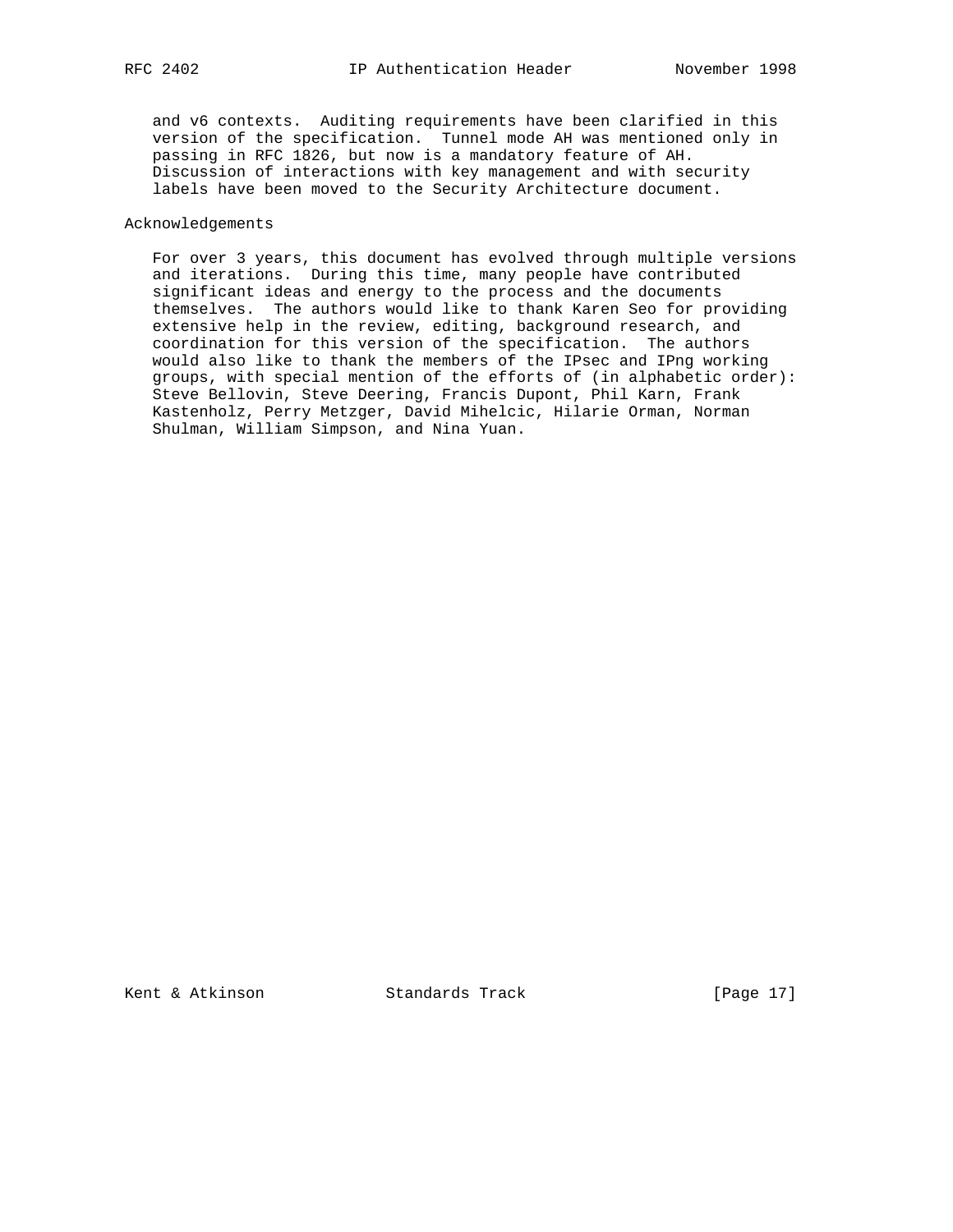and v6 contexts. Auditing requirements have been clarified in this version of the specification. Tunnel mode AH was mentioned only in passing in RFC 1826, but now is a mandatory feature of AH. Discussion of interactions with key management and with security labels have been moved to the Security Architecture document.

## Acknowledgements

 For over 3 years, this document has evolved through multiple versions and iterations. During this time, many people have contributed significant ideas and energy to the process and the documents themselves. The authors would like to thank Karen Seo for providing extensive help in the review, editing, background research, and coordination for this version of the specification. The authors would also like to thank the members of the IPsec and IPng working groups, with special mention of the efforts of (in alphabetic order): Steve Bellovin, Steve Deering, Francis Dupont, Phil Karn, Frank Kastenholz, Perry Metzger, David Mihelcic, Hilarie Orman, Norman Shulman, William Simpson, and Nina Yuan.

Kent & Atkinson Standards Track [Page 17]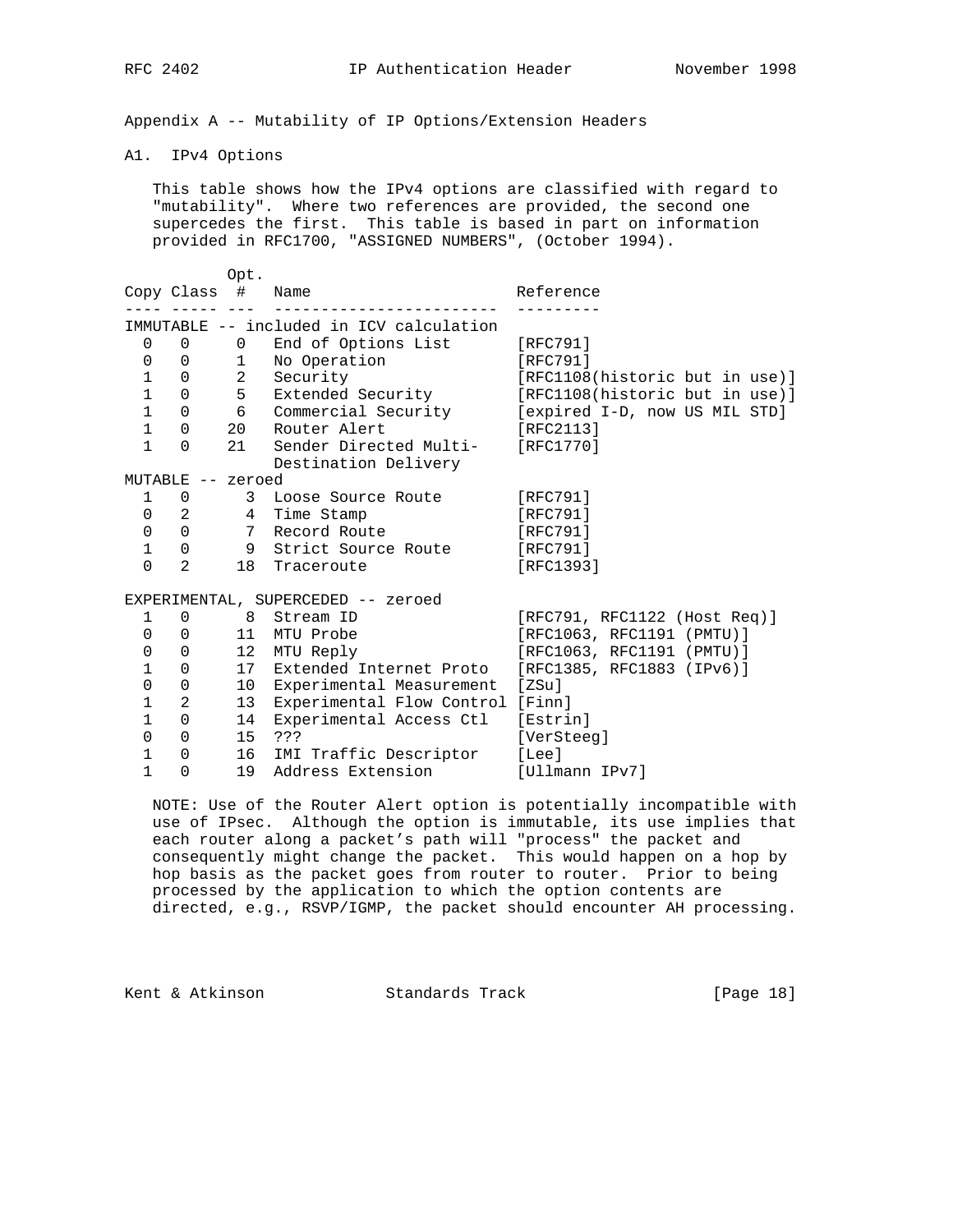Appendix A -- Mutability of IP Options/Extension Headers

A1. IPv4 Options

 This table shows how the IPv4 options are classified with regard to "mutability". Where two references are provided, the second one supercedes the first. This table is based in part on information provided in RFC1700, "ASSIGNED NUMBERS", (October 1994).

|              |                   | Opt. |                                          |                                                       |
|--------------|-------------------|------|------------------------------------------|-------------------------------------------------------|
|              | Copy Class # Name |      |                                          | Reference                                             |
|              |                   |      | IMMUTABLE -- included in ICV calculation |                                                       |
|              |                   |      | 0 0 0 End of Options List [RFC791]       |                                                       |
|              |                   |      | 0 0 1 No Operation<br>[RFC791]           |                                                       |
| $\mathbf 1$  |                   |      | 0 2 Security                             | [RFC1108(historic but in use)]                        |
| $\mathbf 1$  |                   |      |                                          | 0 5 Extended Security [RFC1108(historic but in use)]  |
| $\mathbf 1$  |                   |      |                                          | 0 6 Commercial Security [expired I-D, now US MIL STD] |
| $\mathbf{1}$ |                   |      | 0 20 Router Alert<br>[RFC2113]           |                                                       |
| $\mathbf{1}$ | $\overline{0}$    |      | 21 Sender Directed Multi- [RFC1770]      |                                                       |
|              |                   |      | Destination Delivery                     |                                                       |
|              | MUTABLE -- zeroed |      |                                          |                                                       |
|              |                   |      | 1 0 3 Loose Source Route                 | [RFC791]                                              |
|              |                   |      | 0 2 4 Time Stamp                         | [RFC791]                                              |
|              |                   |      | 0 0 7 Record Route                       | [RFC791]                                              |
| $\mathbf{1}$ |                   |      | 0 9 Strict Source Route [RFC791]         |                                                       |
| $\Omega$     | $\overline{2}$    |      | 18 Traceroute                            | [RFC1393]                                             |
|              |                   |      | EXPERIMENTAL, SUPERCEDED -- zeroed       |                                                       |
|              |                   |      | 1 0 8 Stream ID                          | [RFC791, RFC1122 (Host Req)]                          |
|              |                   |      | 0 0 11 MTU Probe                         | [RFC1063, RFC1191 (PMTU)]                             |
|              |                   |      | 0 0 12 MTU Reply                         | [RFC1063, RFC1191 (PMTU)]                             |
| $\mathbf 1$  | $\overline{0}$    |      | 17 Extended Internet Proto               | [RFC1385, RFC1883 (IPv6)]                             |
| $\mathbf 0$  | $\overline{0}$    |      | 10 Experimental Measurement [ZSu]        |                                                       |
| $\mathbf 1$  | 2                 |      | 13 Experimental Flow Control [Finn]      |                                                       |
| $\mathbf 1$  | 0                 |      | 14 Experimental Access Ctl               | [Estrin]                                              |
| $\mathbf 0$  | $\overline{0}$    |      | 15 ???                                   | [VerSteeq]                                            |
| $\mathbf{1}$ |                   |      | 0 16 IMI Traffic Descriptor              | [Lee]                                                 |
| $\mathbf{1}$ | $\Omega$          |      | 19 Address Extension                     | [Ullmann IPv7]                                        |

 NOTE: Use of the Router Alert option is potentially incompatible with use of IPsec. Although the option is immutable, its use implies that each router along a packet's path will "process" the packet and consequently might change the packet. This would happen on a hop by hop basis as the packet goes from router to router. Prior to being processed by the application to which the option contents are directed, e.g., RSVP/IGMP, the packet should encounter AH processing.

Kent & Atkinson Standards Track [Page 18]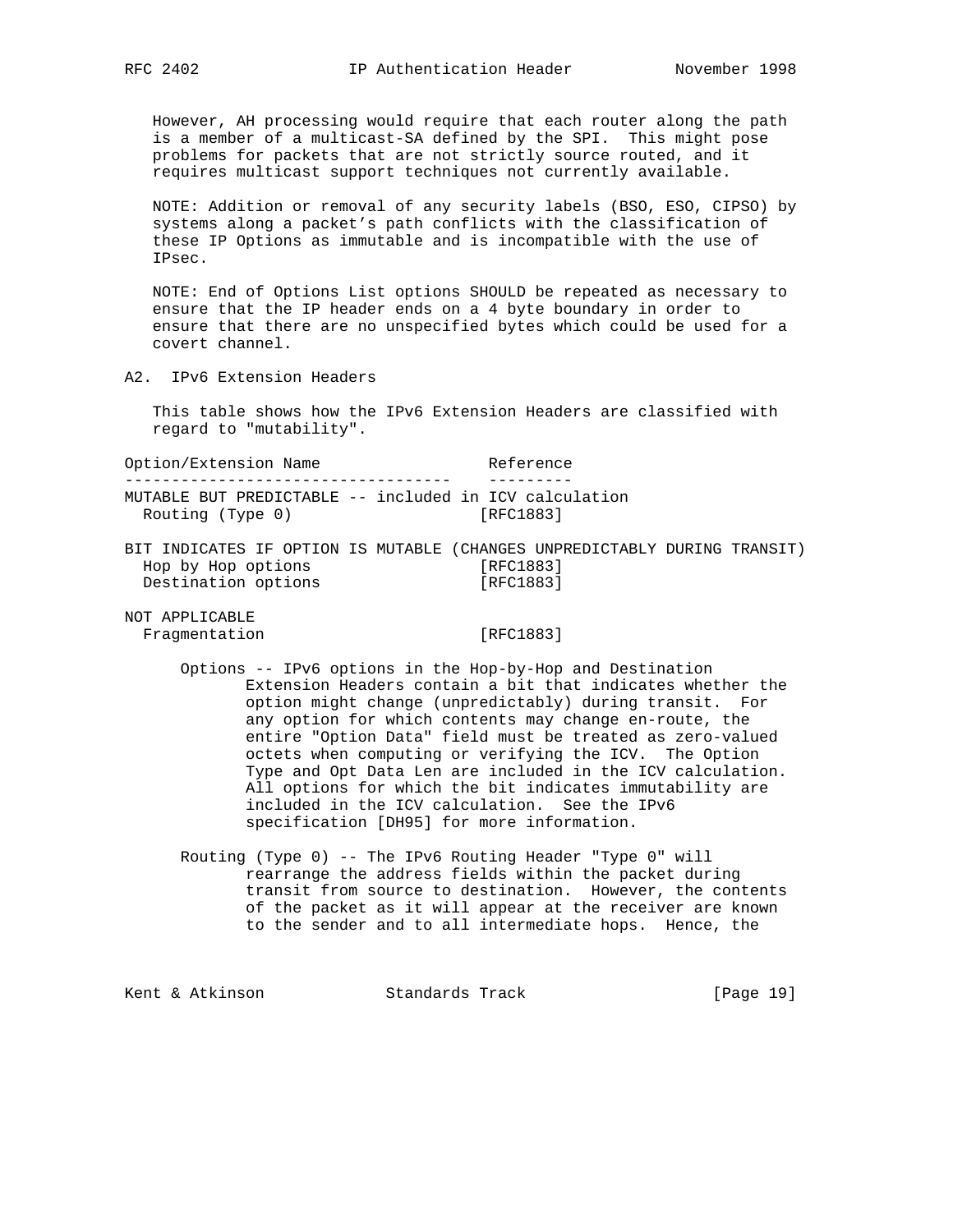However, AH processing would require that each router along the path is a member of a multicast-SA defined by the SPI. This might pose problems for packets that are not strictly source routed, and it requires multicast support techniques not currently available.

 NOTE: Addition or removal of any security labels (BSO, ESO, CIPSO) by systems along a packet's path conflicts with the classification of these IP Options as immutable and is incompatible with the use of IPsec.

 NOTE: End of Options List options SHOULD be repeated as necessary to ensure that the IP header ends on a 4 byte boundary in order to ensure that there are no unspecified bytes which could be used for a covert channel.

A2. IPv6 Extension Headers

 This table shows how the IPv6 Extension Headers are classified with regard to "mutability".

Option/Extension Name **Reference** 

|  | MUTABLE BUT PREDICTABLE -- included in ICV calculation |  |  |           |  |
|--|--------------------------------------------------------|--|--|-----------|--|
|  | Routing (Type 0)                                       |  |  | [RFC1883] |  |

|                     |  |  |           | BIT INDICATES IF OPTION IS MUTABLE (CHANGES UNPREDICTABLY DURING TRANSIT) |  |
|---------------------|--|--|-----------|---------------------------------------------------------------------------|--|
| Hop by Hop options  |  |  | [RFC1883] |                                                                           |  |
| Destination options |  |  | [RFC1883] |                                                                           |  |

NOT APPLICABLE Fragmentation [RFC1883]

- Options -- IPv6 options in the Hop-by-Hop and Destination Extension Headers contain a bit that indicates whether the option might change (unpredictably) during transit. For any option for which contents may change en-route, the entire "Option Data" field must be treated as zero-valued octets when computing or verifying the ICV. The Option Type and Opt Data Len are included in the ICV calculation. All options for which the bit indicates immutability are included in the ICV calculation. See the IPv6 specification [DH95] for more information.
- Routing (Type 0) -- The IPv6 Routing Header "Type 0" will rearrange the address fields within the packet during transit from source to destination. However, the contents of the packet as it will appear at the receiver are known to the sender and to all intermediate hops. Hence, the

Kent & Atkinson Standards Track [Page 19]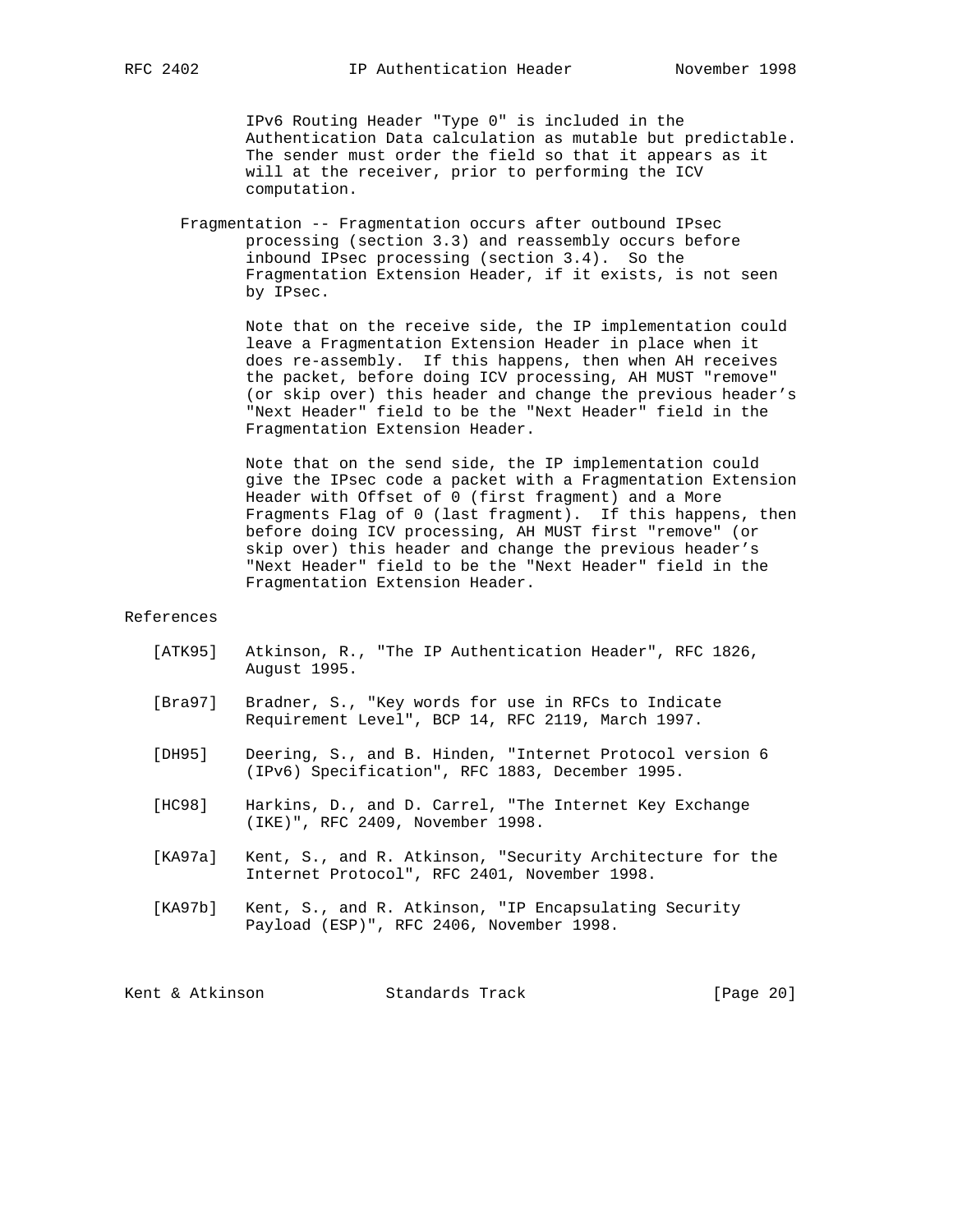IPv6 Routing Header "Type 0" is included in the Authentication Data calculation as mutable but predictable. The sender must order the field so that it appears as it will at the receiver, prior to performing the ICV computation.

 Fragmentation -- Fragmentation occurs after outbound IPsec processing (section 3.3) and reassembly occurs before inbound IPsec processing (section 3.4). So the Fragmentation Extension Header, if it exists, is not seen by IPsec.

> Note that on the receive side, the IP implementation could leave a Fragmentation Extension Header in place when it does re-assembly. If this happens, then when AH receives the packet, before doing ICV processing, AH MUST "remove" (or skip over) this header and change the previous header's "Next Header" field to be the "Next Header" field in the Fragmentation Extension Header.

> Note that on the send side, the IP implementation could give the IPsec code a packet with a Fragmentation Extension Header with Offset of 0 (first fragment) and a More Fragments Flag of 0 (last fragment). If this happens, then before doing ICV processing, AH MUST first "remove" (or skip over) this header and change the previous header's "Next Header" field to be the "Next Header" field in the Fragmentation Extension Header.

#### References

- [ATK95] Atkinson, R., "The IP Authentication Header", RFC 1826, August 1995.
- [Bra97] Bradner, S., "Key words for use in RFCs to Indicate Requirement Level", BCP 14, RFC 2119, March 1997.
- [DH95] Deering, S., and B. Hinden, "Internet Protocol version 6 (IPv6) Specification", RFC 1883, December 1995.
- [HC98] Harkins, D., and D. Carrel, "The Internet Key Exchange (IKE)", RFC 2409, November 1998.
- [KA97a] Kent, S., and R. Atkinson, "Security Architecture for the Internet Protocol", RFC 2401, November 1998.
- [KA97b] Kent, S., and R. Atkinson, "IP Encapsulating Security Payload (ESP)", RFC 2406, November 1998.

Kent & Atkinson Standards Track [Page 20]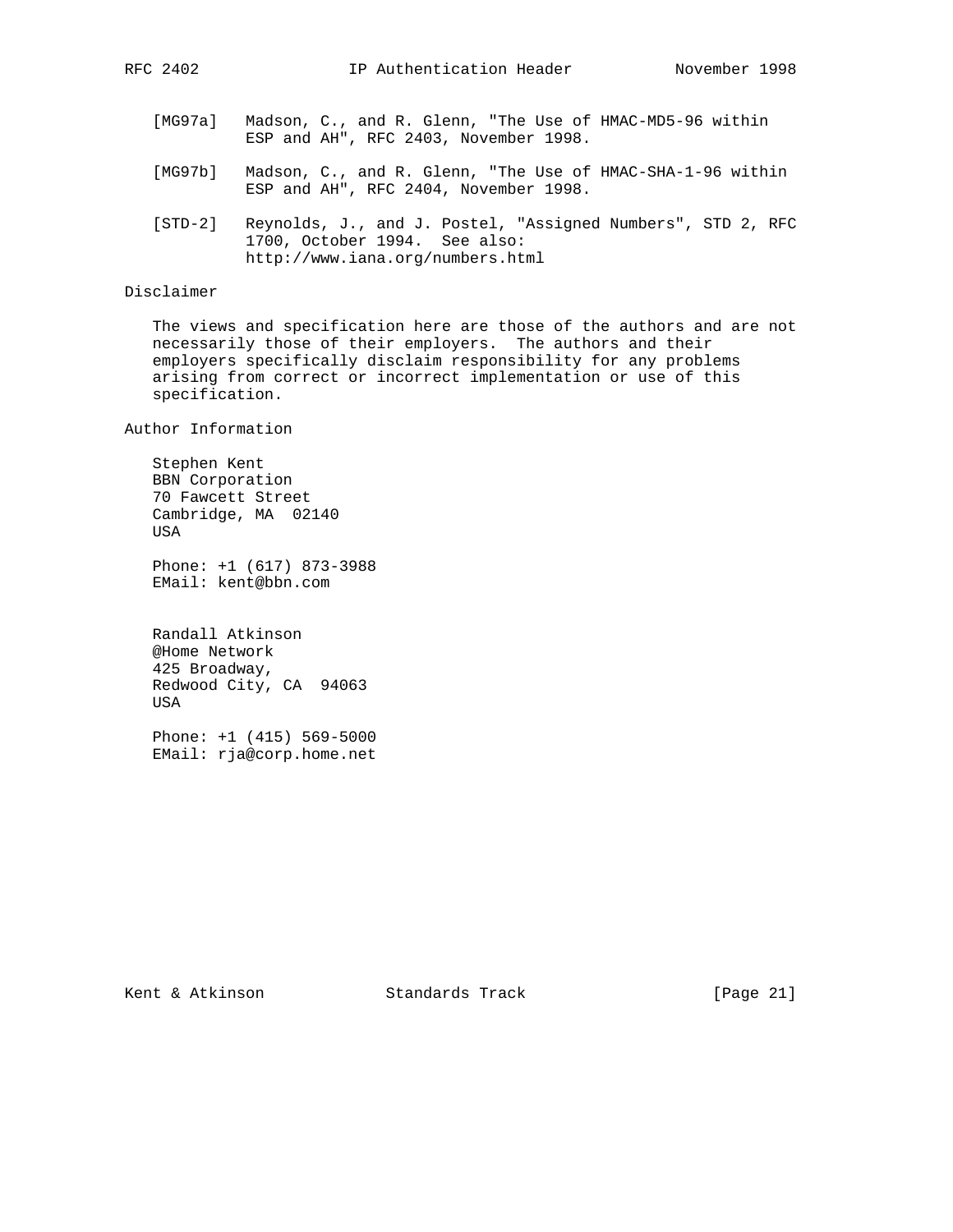- [MG97a] Madson, C., and R. Glenn, "The Use of HMAC-MD5-96 within ESP and AH", RFC 2403, November 1998.
- [MG97b] Madson, C., and R. Glenn, "The Use of HMAC-SHA-1-96 within ESP and AH", RFC 2404, November 1998.
- [STD-2] Reynolds, J., and J. Postel, "Assigned Numbers", STD 2, RFC 1700, October 1994. See also: http://www.iana.org/numbers.html

Disclaimer

 The views and specification here are those of the authors and are not necessarily those of their employers. The authors and their employers specifically disclaim responsibility for any problems arising from correct or incorrect implementation or use of this specification.

Author Information

 Stephen Kent BBN Corporation 70 Fawcett Street Cambridge, MA 02140 USA

 Phone: +1 (617) 873-3988 EMail: kent@bbn.com

 Randall Atkinson @Home Network 425 Broadway, Redwood City, CA 94063 USA

 Phone: +1 (415) 569-5000 EMail: rja@corp.home.net

Kent & Atkinson Standards Track [Page 21]